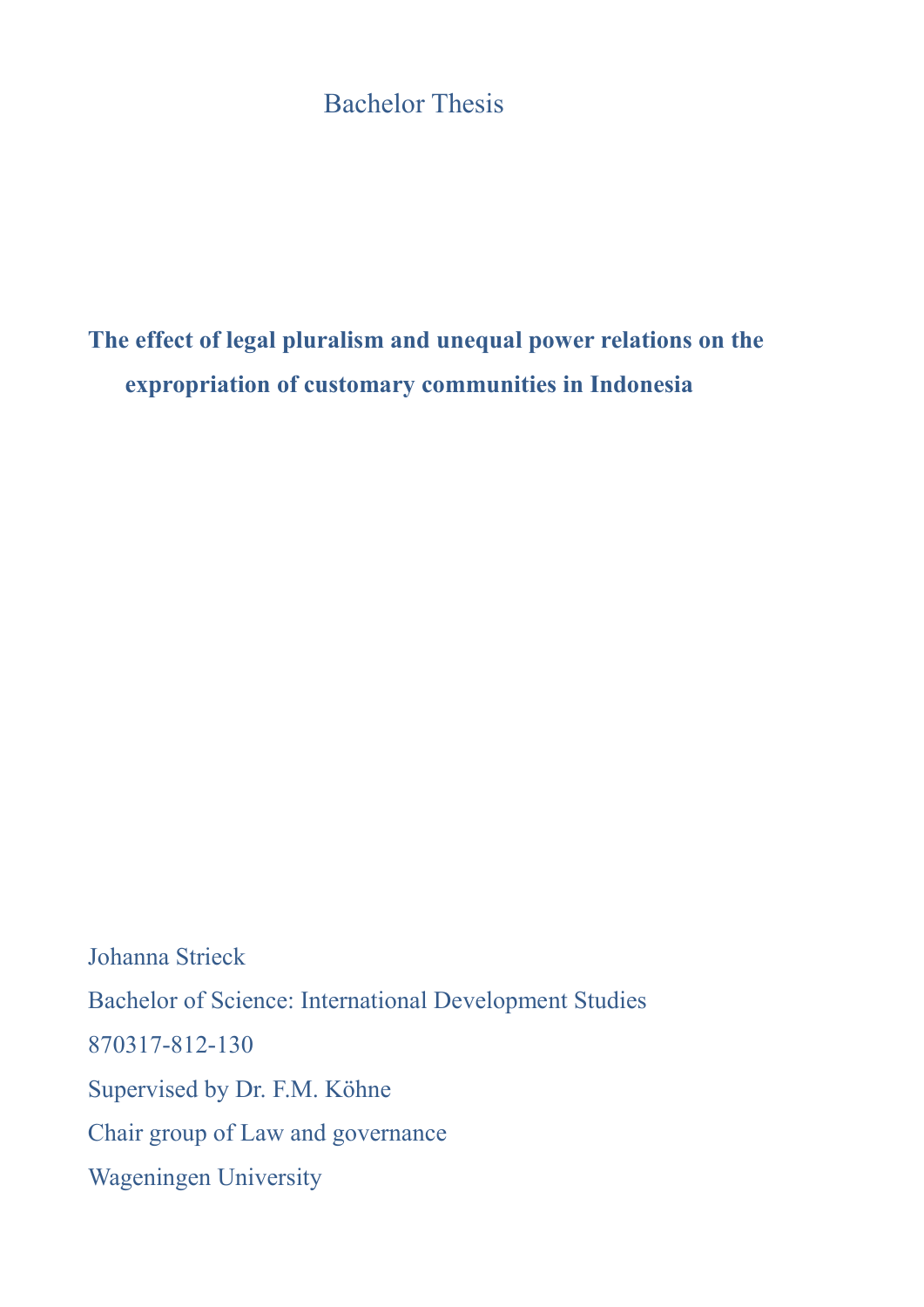# **Bachelor Thesis**

# **The effect of legal pluralism and unequal power relations on the expropriation of customary communities in Indonesia**

Johanna Strieck Bachelor of Science: International Development Studies 870317-812-130 Supervised by Dr. F.M. Köhne Chair group of Law and governance Wageningen University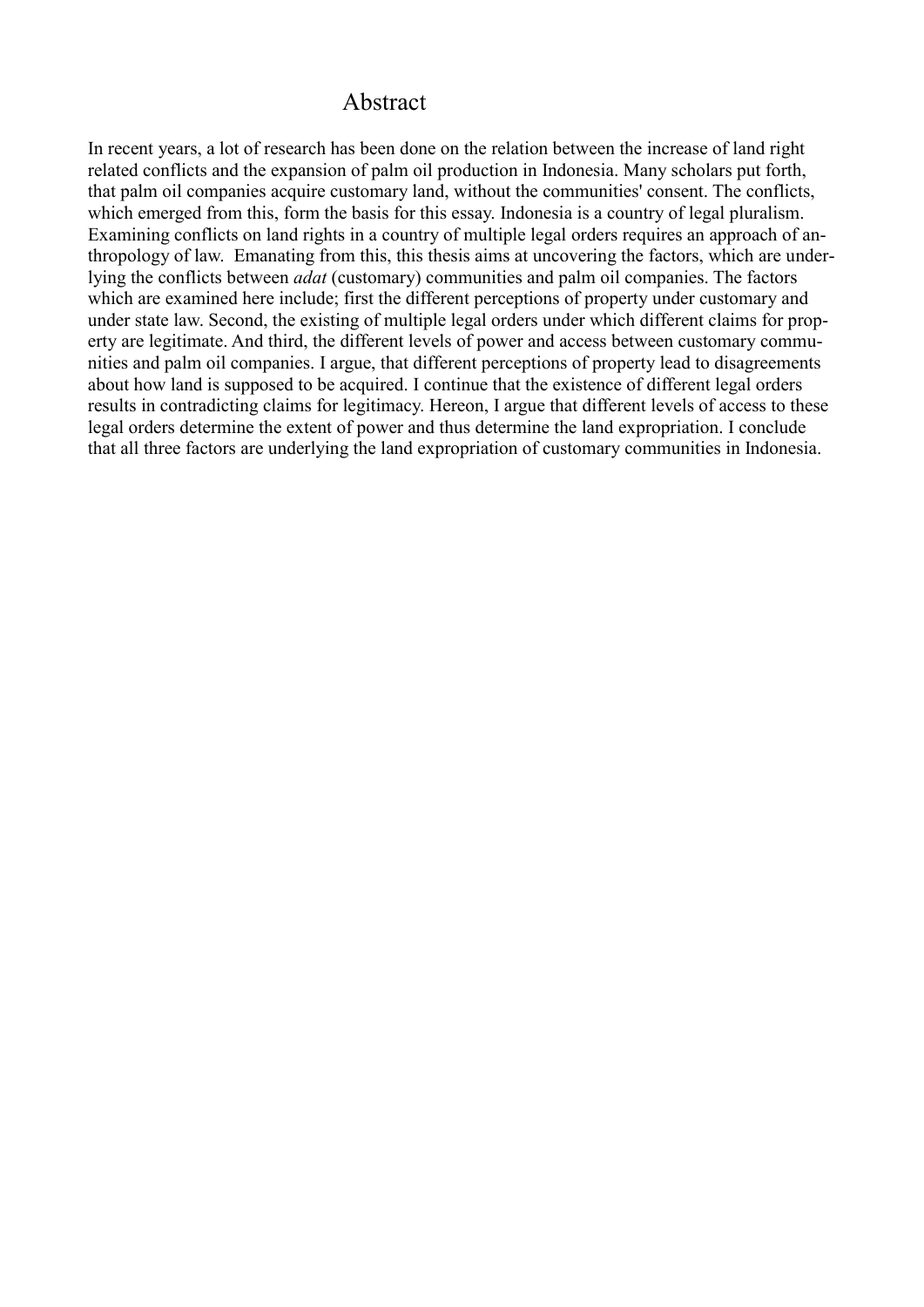### Abstract

In recent years, a lot of research has been done on the relation between the increase of land right related conflicts and the expansion of palm oil production in Indonesia. Many scholars put forth, that palm oil companies acquire customary land, without the communities' consent. The conflicts, which emerged from this, form the basis for this essay. Indonesia is a country of legal pluralism. Examining conflicts on land rights in a country of multiple legal orders requires an approach of anthropology of law. Emanating from this, this thesis aims at uncovering the factors, which are underlying the conflicts between *adat* (customary) communities and palm oil companies. The factors which are examined here include; first the different perceptions of property under customary and under state law. Second, the existing of multiple legal orders under which different claims for property are legitimate. And third, the different levels of power and access between customary communities and palm oil companies. I argue, that different perceptions of property lead to disagreements about how land is supposed to be acquired. I continue that the existence of different legal orders results in contradicting claims for legitimacy. Hereon, I argue that different levels of access to these legal orders determine the extent of power and thus determine the land expropriation. I conclude that all three factors are underlying the land expropriation of customary communities in Indonesia.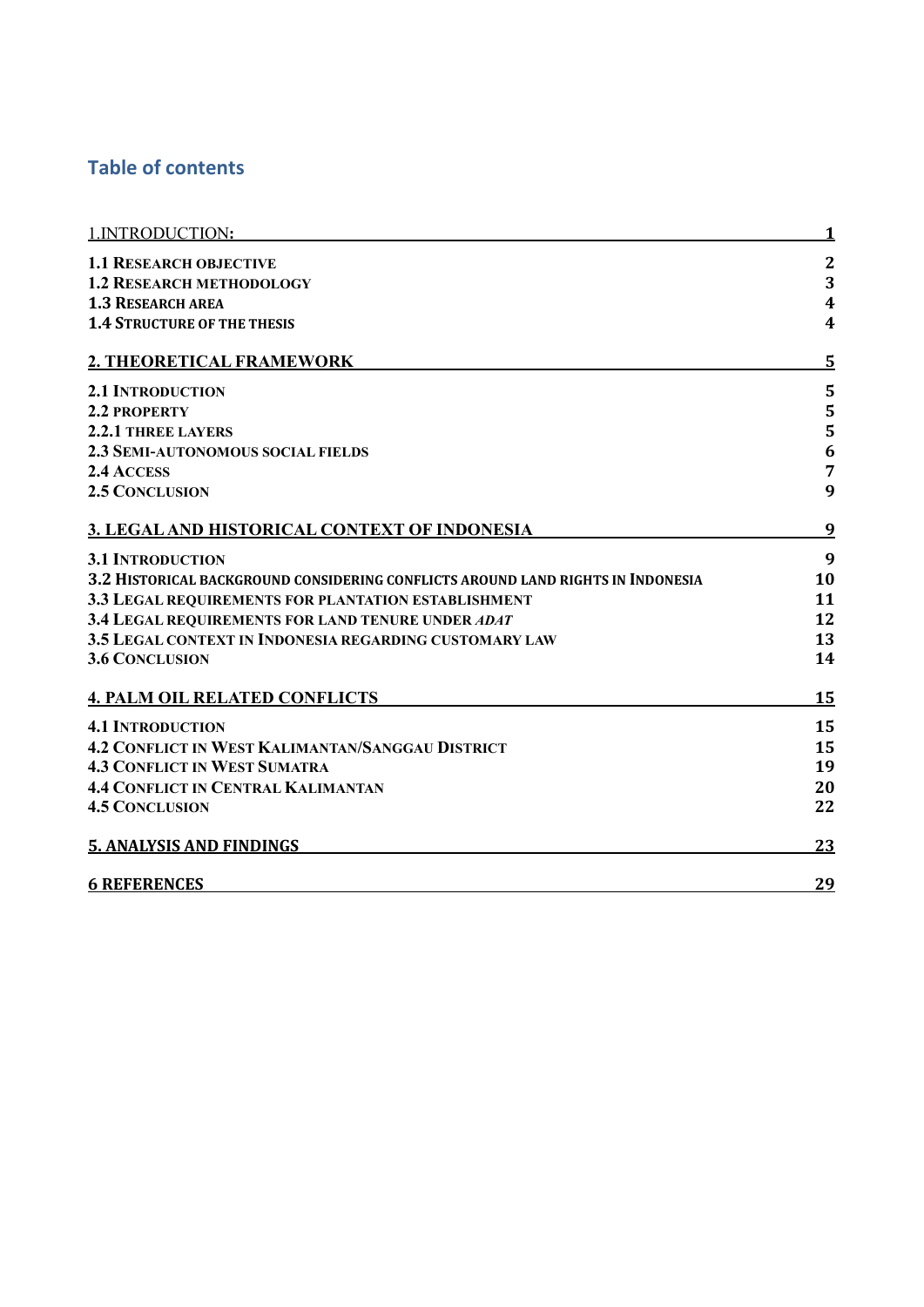# **Table of contents**

| 1. INTRODUCTION:                                                                | 1                       |
|---------------------------------------------------------------------------------|-------------------------|
| <b>1.1 RESEARCH OBJECTIVE</b>                                                   | $\mathbf{2}$            |
| <b>1.2 RESEARCH METHODOLOGY</b>                                                 | 3                       |
| <b>1.3 RESEARCH AREA</b>                                                        | $\overline{\mathbf{4}}$ |
| <b>1.4 STRUCTURE OF THE THESIS</b>                                              | 4                       |
| 2. THEORETICAL FRAMEWORK                                                        | 5                       |
| <b>2.1 INTRODUCTION</b>                                                         | 5                       |
| 2.2 PROPERTY                                                                    | 5                       |
| <b>2.2.1 THREE LAYERS</b>                                                       | 5                       |
| <b>2.3 SEMI-AUTONOMOUS SOCIAL FIELDS</b>                                        | 6                       |
| 2.4 ACCESS                                                                      | $\overline{7}$          |
| <b>2.5 CONCLUSION</b>                                                           | 9                       |
| 3. LEGAL AND HISTORICAL CONTEXT OF INDONESIA                                    | 9                       |
| <b>3.1 INTRODUCTION</b>                                                         | 9                       |
| 3.2 HISTORICAL BACKGROUND CONSIDERING CONFLICTS AROUND LAND RIGHTS IN INDONESIA | 10                      |
| 3.3 LEGAL REQUIREMENTS FOR PLANTATION ESTABLISHMENT                             | 11                      |
| 3.4 LEGAL REQUIREMENTS FOR LAND TENURE UNDER ADAT                               | 12                      |
| 3.5 LEGAL CONTEXT IN INDONESIA REGARDING CUSTOMARY LAW                          | 13                      |
| <b>3.6 CONCLUSION</b>                                                           | 14                      |
| <b>4. PALM OIL RELATED CONFLICTS</b>                                            | 15                      |
| <b>4.1 INTRODUCTION</b>                                                         | 15                      |
| <b>4.2 CONFLICT IN WEST KALIMANTAN/SANGGAU DISTRICT</b>                         | 15                      |
| <b>4.3 CONFLICT IN WEST SUMATRA</b>                                             | 19                      |
| <b>4.4 CONFLICT IN CENTRAL KALIMANTAN</b>                                       | 20                      |
| <b>4.5 CONCLUSION</b>                                                           | 22                      |
| <b>5. ANALYSIS AND FINDINGS</b>                                                 | 23                      |
| <b>6 REFERENCES</b>                                                             | 29                      |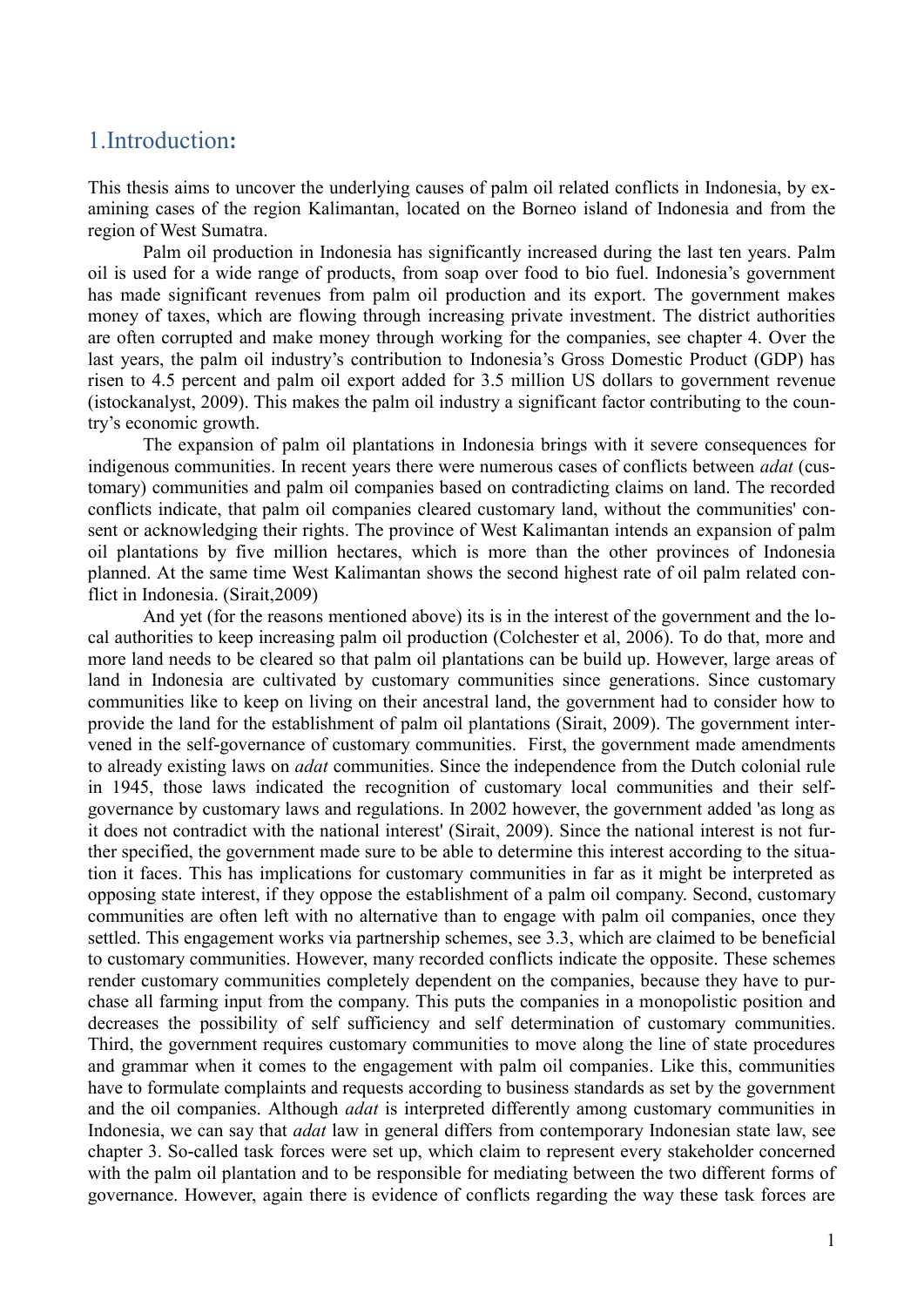# 1.Introduction**:**

This thesis aims to uncover the underlying causes of palm oil related conflicts in Indonesia, by examining cases of the region Kalimantan, located on the Borneo island of Indonesia and from the region of West Sumatra.

Palm oil production in Indonesia has significantly increased during the last ten years. Palm oil is used for a wide range of products, from soap over food to bio fuel. Indonesia's government has made significant revenues from palm oil production and its export. The government makes money of taxes, which are flowing through increasing private investment. The district authorities are often corrupted and make money through working for the companies, see chapter 4. Over the last years, the palm oil industry's contribution to Indonesia's Gross Domestic Product (GDP) has risen to 4.5 percent and palm oil export added for 3.5 million US dollars to government revenue (istockanalyst, 2009). This makes the palm oil industry a significant factor contributing to the country's economic growth.

The expansion of palm oil plantations in Indonesia brings with it severe consequences for indigenous communities. In recent years there were numerous cases of conflicts between *adat* (customary) communities and palm oil companies based on contradicting claims on land. The recorded conflicts indicate, that palm oil companies cleared customary land, without the communities' consent or acknowledging their rights. The province of West Kalimantan intends an expansion of palm oil plantations by five million hectares, which is more than the other provinces of Indonesia planned. At the same time West Kalimantan shows the second highest rate of oil palm related conflict in Indonesia. (Sirait,2009)

And yet (for the reasons mentioned above) its is in the interest of the government and the local authorities to keep increasing palm oil production (Colchester et al, 2006). To do that, more and more land needs to be cleared so that palm oil plantations can be build up. However, large areas of land in Indonesia are cultivated by customary communities since generations. Since customary communities like to keep on living on their ancestral land, the government had to consider how to provide the land for the establishment of palm oil plantations (Sirait, 2009). The government intervened in the self-governance of customary communities. First, the government made amendments to already existing laws on *adat* communities. Since the independence from the Dutch colonial rule in 1945, those laws indicated the recognition of customary local communities and their selfgovernance by customary laws and regulations. In 2002 however, the government added 'as long as it does not contradict with the national interest' (Sirait, 2009). Since the national interest is not further specified, the government made sure to be able to determine this interest according to the situation it faces. This has implications for customary communities in far as it might be interpreted as opposing state interest, if they oppose the establishment of a palm oil company. Second, customary communities are often left with no alternative than to engage with palm oil companies, once they settled. This engagement works via partnership schemes, see 3.3, which are claimed to be beneficial to customary communities. However, many recorded conflicts indicate the opposite. These schemes render customary communities completely dependent on the companies, because they have to purchase all farming input from the company. This puts the companies in a monopolistic position and decreases the possibility of self sufficiency and self determination of customary communities. Third, the government requires customary communities to move along the line of state procedures and grammar when it comes to the engagement with palm oil companies. Like this, communities have to formulate complaints and requests according to business standards as set by the government and the oil companies. Although *adat* is interpreted differently among customary communities in Indonesia, we can say that *adat* law in general differs from contemporary Indonesian state law, see chapter 3. So-called task forces were set up, which claim to represent every stakeholder concerned with the palm oil plantation and to be responsible for mediating between the two different forms of governance. However, again there is evidence of conflicts regarding the way these task forces are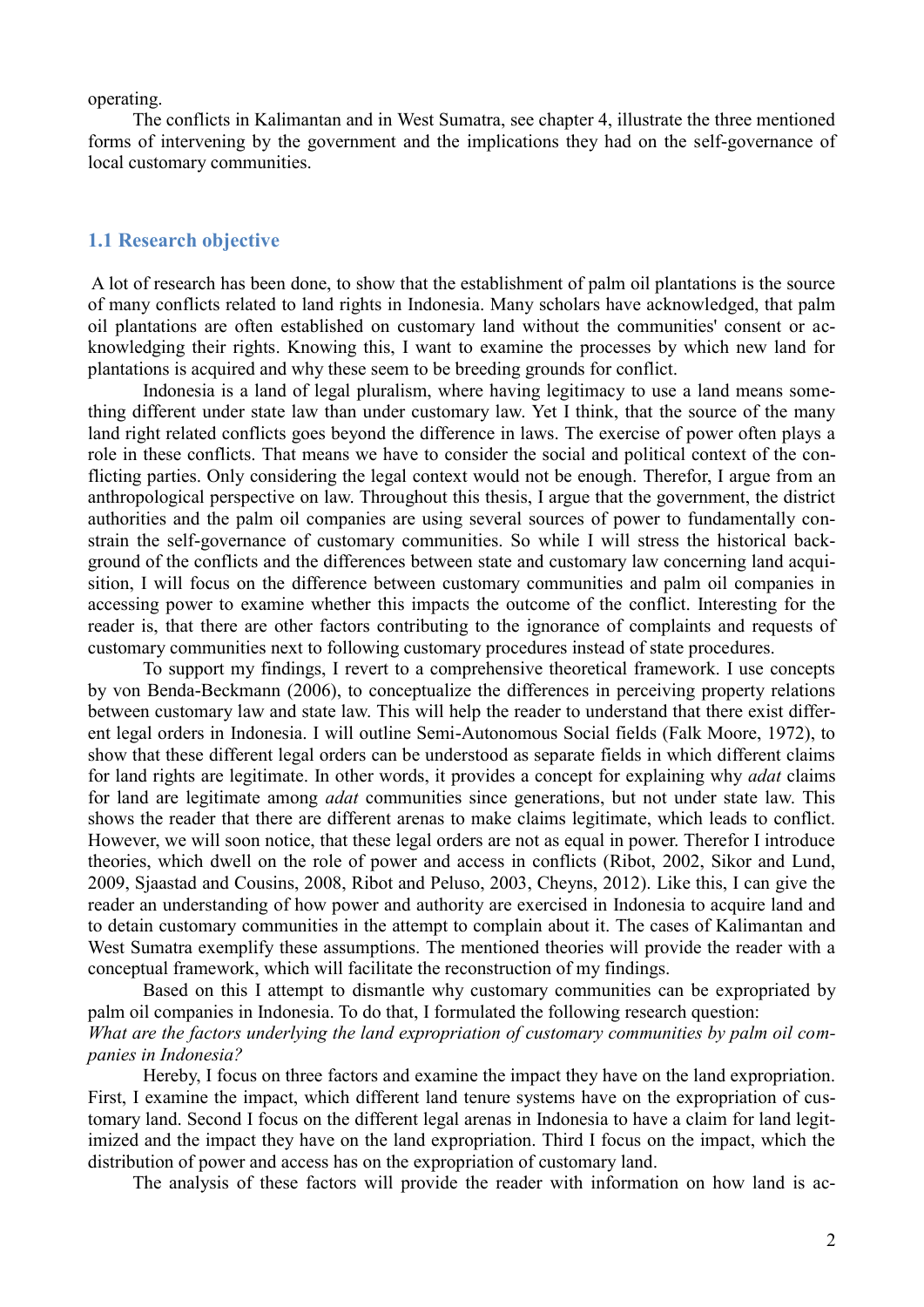operating.

The conflicts in Kalimantan and in West Sumatra, see chapter 4, illustrate the three mentioned forms of intervening by the government and the implications they had on the self-governance of local customary communities.

#### **1.1 Research objective**

A lot of research has been done, to show that the establishment of palm oil plantations is the source of many conflicts related to land rights in Indonesia. Many scholars have acknowledged, that palm oil plantations are often established on customary land without the communities' consent or acknowledging their rights. Knowing this, I want to examine the processes by which new land for plantations is acquired and why these seem to be breeding grounds for conflict.

Indonesia is a land of legal pluralism, where having legitimacy to use a land means something different under state law than under customary law. Yet I think, that the source of the many land right related conflicts goes beyond the difference in laws. The exercise of power often plays a role in these conflicts. That means we have to consider the social and political context of the conflicting parties. Only considering the legal context would not be enough. Therefor, I argue from an anthropological perspective on law. Throughout this thesis, I argue that the government, the district authorities and the palm oil companies are using several sources of power to fundamentally constrain the self-governance of customary communities. So while I will stress the historical background of the conflicts and the differences between state and customary law concerning land acquisition, I will focus on the difference between customary communities and palm oil companies in accessing power to examine whether this impacts the outcome of the conflict. Interesting for the reader is, that there are other factors contributing to the ignorance of complaints and requests of customary communities next to following customary procedures instead of state procedures.

To support my findings, I revert to a comprehensive theoretical framework. I use concepts by von Benda-Beckmann (2006), to conceptualize the differences in perceiving property relations between customary law and state law. This will help the reader to understand that there exist different legal orders in Indonesia. I will outline Semi-Autonomous Social fields (Falk Moore, 1972), to show that these different legal orders can be understood as separate fields in which different claims for land rights are legitimate. In other words, it provides a concept for explaining why *adat* claims for land are legitimate among *adat* communities since generations, but not under state law. This shows the reader that there are different arenas to make claims legitimate, which leads to conflict. However, we will soon notice, that these legal orders are not as equal in power. Therefor I introduce theories, which dwell on the role of power and access in conflicts (Ribot, 2002, Sikor and Lund, 2009, Sjaastad and Cousins, 2008, Ribot and Peluso, 2003, Cheyns, 2012). Like this, I can give the reader an understanding of how power and authority are exercised in Indonesia to acquire land and to detain customary communities in the attempt to complain about it. The cases of Kalimantan and West Sumatra exemplify these assumptions. The mentioned theories will provide the reader with a conceptual framework, which will facilitate the reconstruction of my findings.

Based on this I attempt to dismantle why customary communities can be expropriated by palm oil companies in Indonesia. To do that, I formulated the following research question: *What are the factors underlying the land expropriation of customary communities by palm oil companies in Indonesia?*

Hereby, I focus on three factors and examine the impact they have on the land expropriation. First, I examine the impact, which different land tenure systems have on the expropriation of customary land. Second I focus on the different legal arenas in Indonesia to have a claim for land legitimized and the impact they have on the land expropriation. Third I focus on the impact, which the distribution of power and access has on the expropriation of customary land.

The analysis of these factors will provide the reader with information on how land is ac-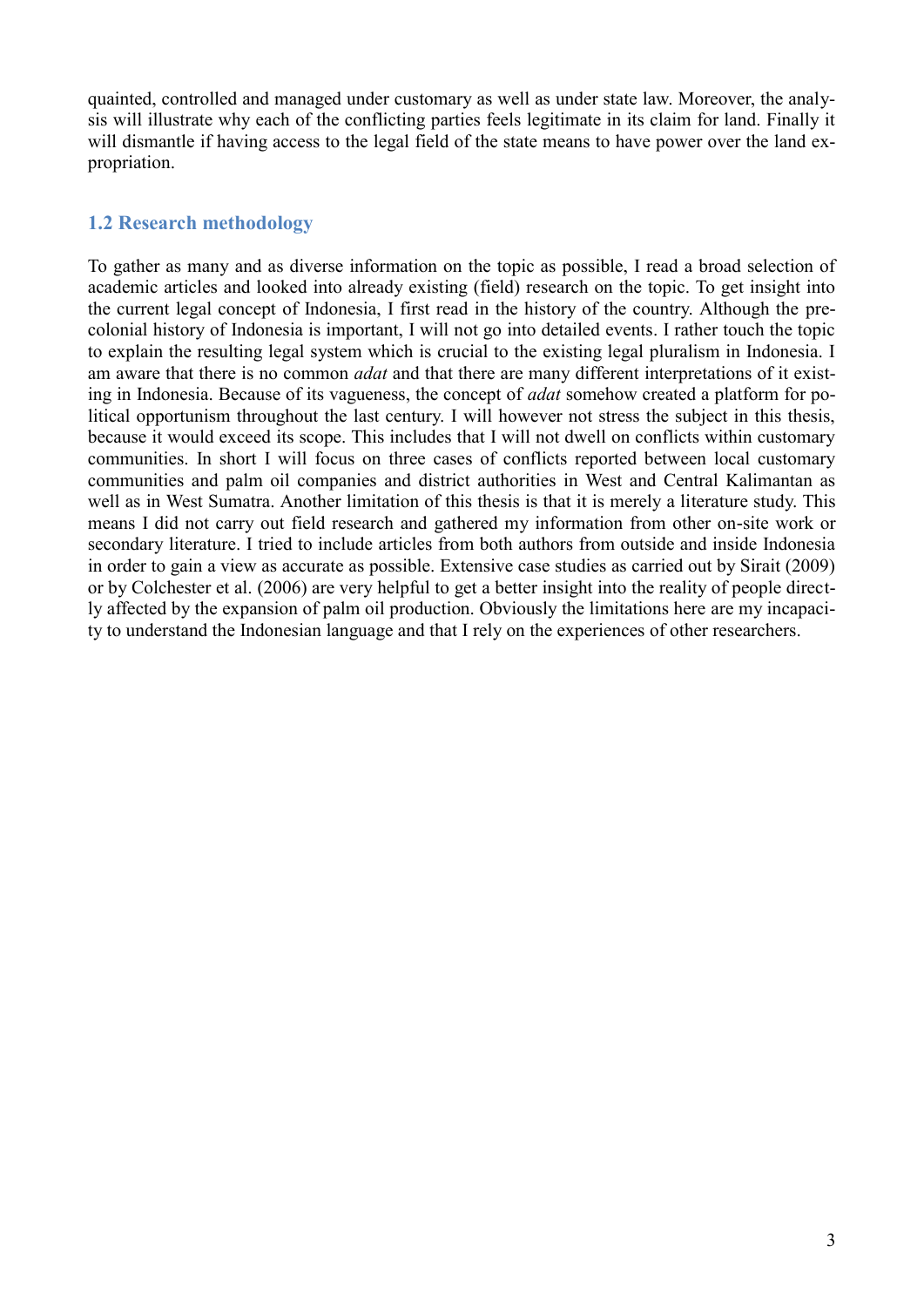quainted, controlled and managed under customary as well as under state law. Moreover, the analysis will illustrate why each of the conflicting parties feels legitimate in its claim for land. Finally it will dismantle if having access to the legal field of the state means to have power over the land expropriation.

### **1.2 Research methodology**

To gather as many and as diverse information on the topic as possible, I read a broad selection of academic articles and looked into already existing (field) research on the topic. To get insight into the current legal concept of Indonesia, I first read in the history of the country. Although the precolonial history of Indonesia is important, I will not go into detailed events. I rather touch the topic to explain the resulting legal system which is crucial to the existing legal pluralism in Indonesia. I am aware that there is no common *adat* and that there are many different interpretations of it existing in Indonesia. Because of its vagueness, the concept of *adat* somehow created a platform for political opportunism throughout the last century. I will however not stress the subject in this thesis, because it would exceed its scope. This includes that I will not dwell on conflicts within customary communities. In short I will focus on three cases of conflicts reported between local customary communities and palm oil companies and district authorities in West and Central Kalimantan as well as in West Sumatra. Another limitation of this thesis is that it is merely a literature study. This means I did not carry out field research and gathered my information from other on-site work or secondary literature. I tried to include articles from both authors from outside and inside Indonesia in order to gain a view as accurate as possible. Extensive case studies as carried out by Sirait (2009) or by Colchester et al. (2006) are very helpful to get a better insight into the reality of people directly affected by the expansion of palm oil production. Obviously the limitations here are my incapacity to understand the Indonesian language and that I rely on the experiences of other researchers.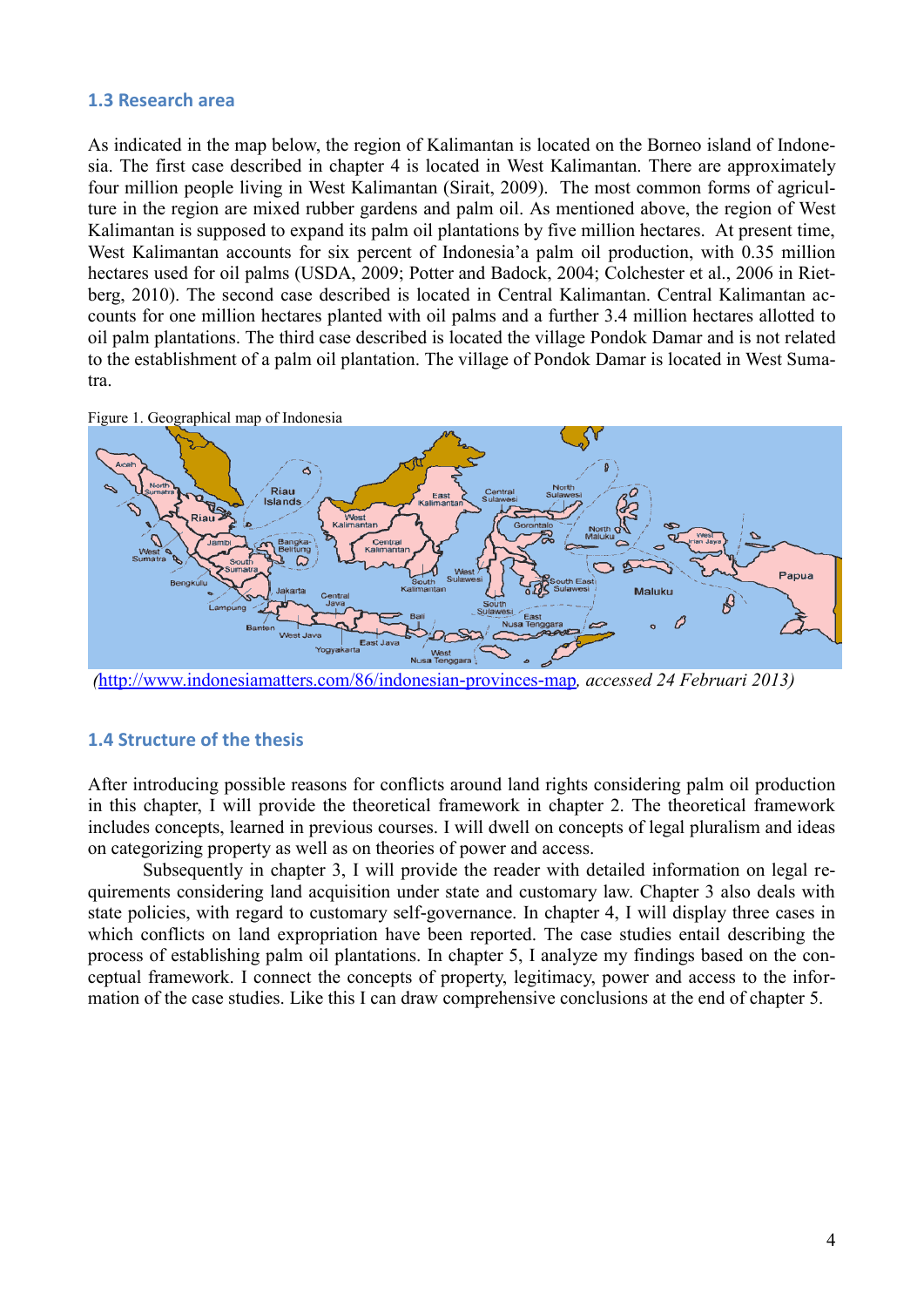#### **1.3 Research area**

As indicated in the map below, the region of Kalimantan is located on the Borneo island of Indonesia. The first case described in chapter 4 is located in West Kalimantan. There are approximately four million people living in West Kalimantan (Sirait, 2009). The most common forms of agriculture in the region are mixed rubber gardens and palm oil. As mentioned above, the region of West Kalimantan is supposed to expand its palm oil plantations by five million hectares. At present time, West Kalimantan accounts for six percent of Indonesia'a palm oil production, with 0.35 million hectares used for oil palms (USDA, 2009; Potter and Badock, 2004; Colchester et al., 2006 in Rietberg, 2010). The second case described is located in Central Kalimantan. Central Kalimantan accounts for one million hectares planted with oil palms and a further 3.4 million hectares allotted to oil palm plantations. The third case described is located the village Pondok Damar and is not related to the establishment of a palm oil plantation. The village of Pondok Damar is located in West Sumatra.





*(*<http://www.indonesiamatters.com/86/indonesian-provinces-map>*, accessed 24 Februari 2013)*

#### **1.4 Structure of the thesis**

After introducing possible reasons for conflicts around land rights considering palm oil production in this chapter, I will provide the theoretical framework in chapter 2. The theoretical framework includes concepts, learned in previous courses. I will dwell on concepts of legal pluralism and ideas on categorizing property as well as on theories of power and access.

Subsequently in chapter 3, I will provide the reader with detailed information on legal requirements considering land acquisition under state and customary law. Chapter 3 also deals with state policies, with regard to customary self-governance. In chapter 4, I will display three cases in which conflicts on land expropriation have been reported. The case studies entail describing the process of establishing palm oil plantations. In chapter 5, I analyze my findings based on the conceptual framework. I connect the concepts of property, legitimacy, power and access to the information of the case studies. Like this I can draw comprehensive conclusions at the end of chapter 5.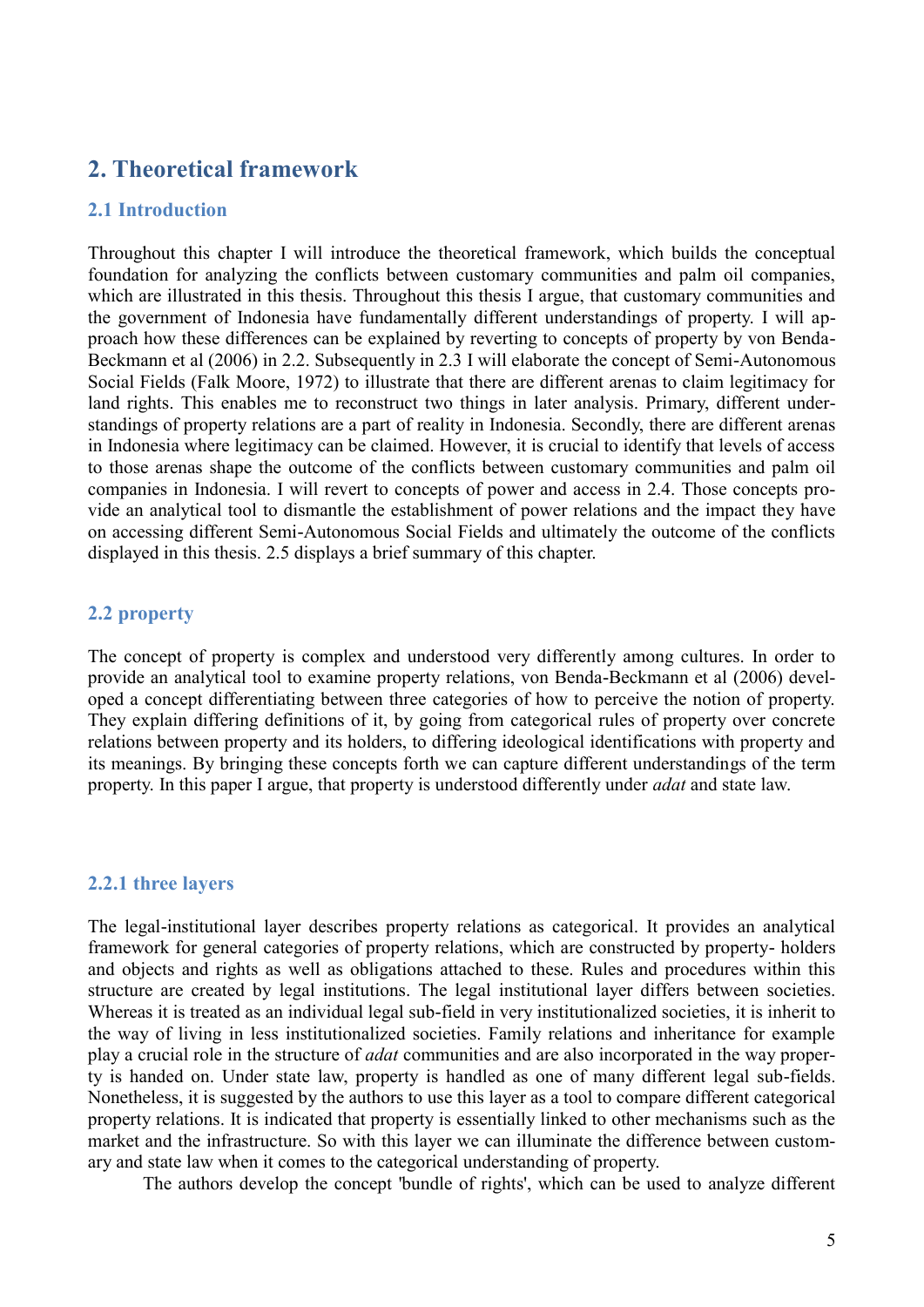# **2. Theoretical framework**

#### **2.1 Introduction**

Throughout this chapter I will introduce the theoretical framework, which builds the conceptual foundation for analyzing the conflicts between customary communities and palm oil companies, which are illustrated in this thesis. Throughout this thesis I argue, that customary communities and the government of Indonesia have fundamentally different understandings of property. I will approach how these differences can be explained by reverting to concepts of property by von Benda-Beckmann et al (2006) in 2.2. Subsequently in 2.3 I will elaborate the concept of Semi-Autonomous Social Fields (Falk Moore, 1972) to illustrate that there are different arenas to claim legitimacy for land rights. This enables me to reconstruct two things in later analysis. Primary, different understandings of property relations are a part of reality in Indonesia. Secondly, there are different arenas in Indonesia where legitimacy can be claimed. However, it is crucial to identify that levels of access to those arenas shape the outcome of the conflicts between customary communities and palm oil companies in Indonesia. I will revert to concepts of power and access in 2.4. Those concepts provide an analytical tool to dismantle the establishment of power relations and the impact they have on accessing different Semi-Autonomous Social Fields and ultimately the outcome of the conflicts displayed in this thesis. 2.5 displays a brief summary of this chapter.

#### **2.2 property**

The concept of property is complex and understood very differently among cultures. In order to provide an analytical tool to examine property relations, von Benda-Beckmann et al (2006) developed a concept differentiating between three categories of how to perceive the notion of property. They explain differing definitions of it, by going from categorical rules of property over concrete relations between property and its holders, to differing ideological identifications with property and its meanings. By bringing these concepts forth we can capture different understandings of the term property. In this paper I argue, that property is understood differently under *adat* and state law.

#### **2.2.1 three layers**

The legal-institutional layer describes property relations as categorical. It provides an analytical framework for general categories of property relations, which are constructed by property- holders and objects and rights as well as obligations attached to these. Rules and procedures within this structure are created by legal institutions. The legal institutional layer differs between societies. Whereas it is treated as an individual legal sub-field in very institutionalized societies, it is inherit to the way of living in less institutionalized societies. Family relations and inheritance for example play a crucial role in the structure of *adat* communities and are also incorporated in the way property is handed on. Under state law, property is handled as one of many different legal sub-fields. Nonetheless, it is suggested by the authors to use this layer as a tool to compare different categorical property relations. It is indicated that property is essentially linked to other mechanisms such as the market and the infrastructure. So with this layer we can illuminate the difference between customary and state law when it comes to the categorical understanding of property.

The authors develop the concept 'bundle of rights', which can be used to analyze different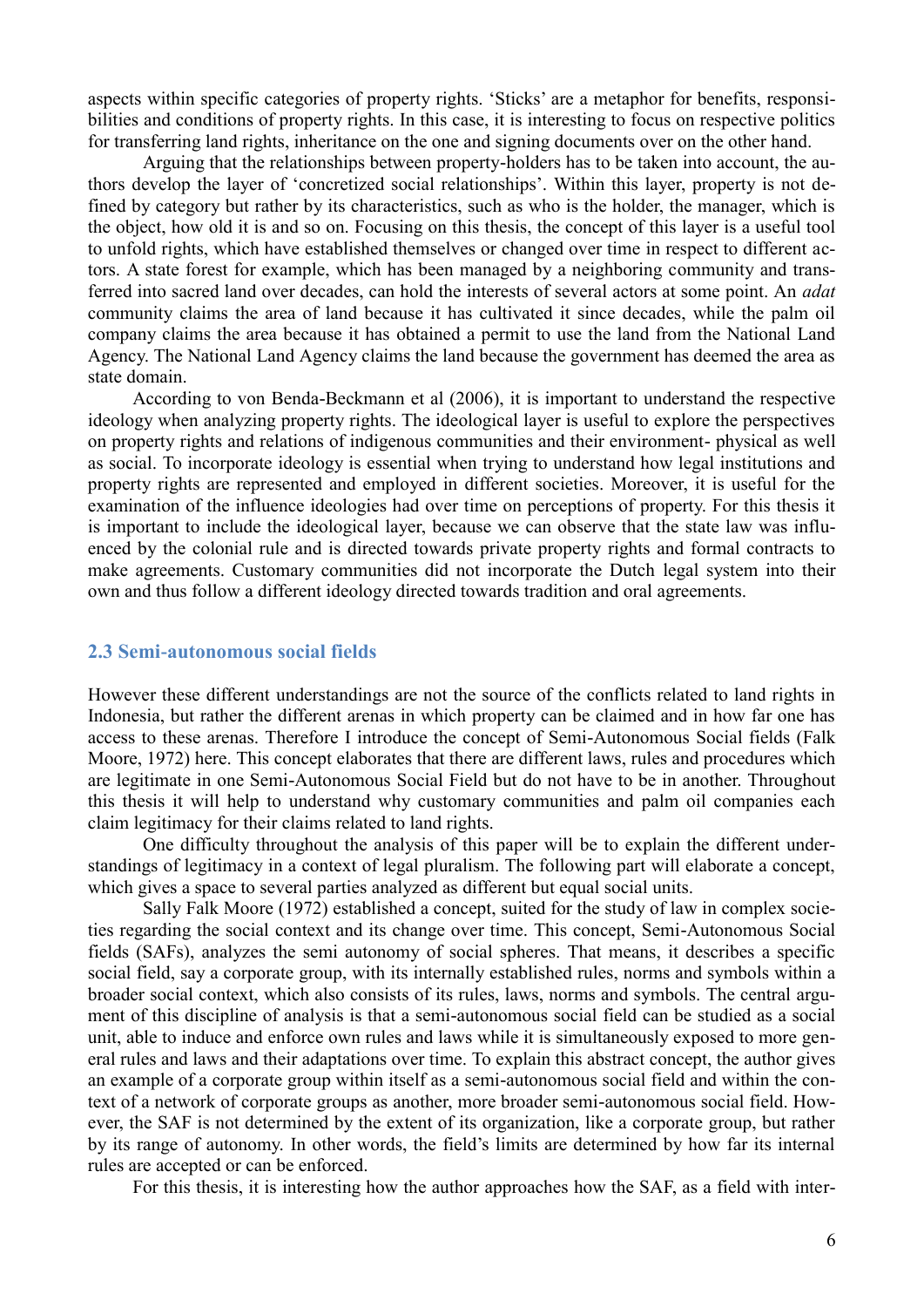aspects within specific categories of property rights. 'Sticks' are a metaphor for benefits, responsibilities and conditions of property rights. In this case, it is interesting to focus on respective politics for transferring land rights, inheritance on the one and signing documents over on the other hand.

Arguing that the relationships between property-holders has to be taken into account, the authors develop the layer of 'concretized social relationships'. Within this layer, property is not defined by category but rather by its characteristics, such as who is the holder, the manager, which is the object, how old it is and so on. Focusing on this thesis, the concept of this layer is a useful tool to unfold rights, which have established themselves or changed over time in respect to different actors. A state forest for example, which has been managed by a neighboring community and transferred into sacred land over decades, can hold the interests of several actors at some point. An *adat* community claims the area of land because it has cultivated it since decades, while the palm oil company claims the area because it has obtained a permit to use the land from the National Land Agency. The National Land Agency claims the land because the government has deemed the area as state domain.

According to von Benda-Beckmann et al (2006), it is important to understand the respective ideology when analyzing property rights. The ideological layer is useful to explore the perspectives on property rights and relations of indigenous communities and their environment- physical as well as social. To incorporate ideology is essential when trying to understand how legal institutions and property rights are represented and employed in different societies. Moreover, it is useful for the examination of the influence ideologies had over time on perceptions of property. For this thesis it is important to include the ideological layer, because we can observe that the state law was influenced by the colonial rule and is directed towards private property rights and formal contracts to make agreements. Customary communities did not incorporate the Dutch legal system into their own and thus follow a different ideology directed towards tradition and oral agreements.

#### **2.3 Semi-autonomous social fields**

However these different understandings are not the source of the conflicts related to land rights in Indonesia, but rather the different arenas in which property can be claimed and in how far one has access to these arenas. Therefore I introduce the concept of Semi-Autonomous Social fields (Falk Moore, 1972) here. This concept elaborates that there are different laws, rules and procedures which are legitimate in one Semi-Autonomous Social Field but do not have to be in another. Throughout this thesis it will help to understand why customary communities and palm oil companies each claim legitimacy for their claims related to land rights.

One difficulty throughout the analysis of this paper will be to explain the different understandings of legitimacy in a context of legal pluralism. The following part will elaborate a concept, which gives a space to several parties analyzed as different but equal social units.

Sally Falk Moore (1972) established a concept, suited for the study of law in complex societies regarding the social context and its change over time. This concept, Semi-Autonomous Social fields (SAFs), analyzes the semi autonomy of social spheres. That means, it describes a specific social field, say a corporate group, with its internally established rules, norms and symbols within a broader social context, which also consists of its rules, laws, norms and symbols. The central argument of this discipline of analysis is that a semi-autonomous social field can be studied as a social unit, able to induce and enforce own rules and laws while it is simultaneously exposed to more general rules and laws and their adaptations over time. To explain this abstract concept, the author gives an example of a corporate group within itself as a semi-autonomous social field and within the context of a network of corporate groups as another, more broader semi-autonomous social field. However, the SAF is not determined by the extent of its organization, like a corporate group, but rather by its range of autonomy. In other words, the field's limits are determined by how far its internal rules are accepted or can be enforced.

For this thesis, it is interesting how the author approaches how the SAF, as a field with inter-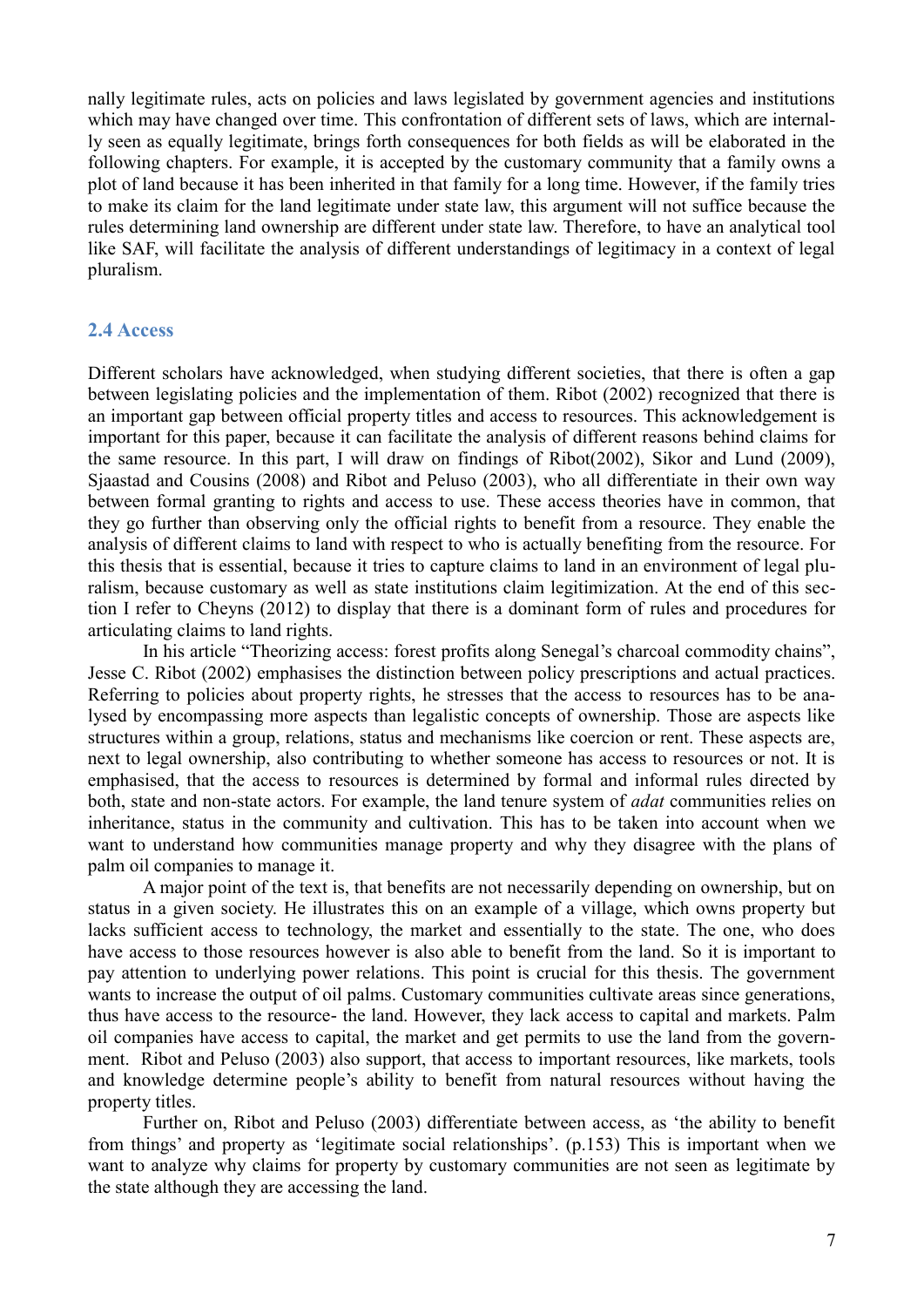nally legitimate rules, acts on policies and laws legislated by government agencies and institutions which may have changed over time. This confrontation of different sets of laws, which are internally seen as equally legitimate, brings forth consequences for both fields as will be elaborated in the following chapters. For example, it is accepted by the customary community that a family owns a plot of land because it has been inherited in that family for a long time. However, if the family tries to make its claim for the land legitimate under state law, this argument will not suffice because the rules determining land ownership are different under state law. Therefore, to have an analytical tool like SAF, will facilitate the analysis of different understandings of legitimacy in a context of legal pluralism.

#### **2.4 Access**

Different scholars have acknowledged, when studying different societies, that there is often a gap between legislating policies and the implementation of them. Ribot (2002) recognized that there is an important gap between official property titles and access to resources. This acknowledgement is important for this paper, because it can facilitate the analysis of different reasons behind claims for the same resource. In this part, I will draw on findings of Ribot(2002), Sikor and Lund (2009), Sjaastad and Cousins (2008) and Ribot and Peluso (2003), who all differentiate in their own way between formal granting to rights and access to use. These access theories have in common, that they go further than observing only the official rights to benefit from a resource. They enable the analysis of different claims to land with respect to who is actually benefiting from the resource. For this thesis that is essential, because it tries to capture claims to land in an environment of legal pluralism, because customary as well as state institutions claim legitimization. At the end of this section I refer to Cheyns (2012) to display that there is a dominant form of rules and procedures for articulating claims to land rights.

In his article "Theorizing access: forest profits along Senegal's charcoal commodity chains", Jesse C. Ribot (2002) emphasises the distinction between policy prescriptions and actual practices. Referring to policies about property rights, he stresses that the access to resources has to be analysed by encompassing more aspects than legalistic concepts of ownership. Those are aspects like structures within a group, relations, status and mechanisms like coercion or rent. These aspects are, next to legal ownership, also contributing to whether someone has access to resources or not. It is emphasised, that the access to resources is determined by formal and informal rules directed by both, state and non-state actors. For example, the land tenure system of *adat* communities relies on inheritance, status in the community and cultivation. This has to be taken into account when we want to understand how communities manage property and why they disagree with the plans of palm oil companies to manage it.

A major point of the text is, that benefits are not necessarily depending on ownership, but on status in a given society. He illustrates this on an example of a village, which owns property but lacks sufficient access to technology, the market and essentially to the state. The one, who does have access to those resources however is also able to benefit from the land. So it is important to pay attention to underlying power relations. This point is crucial for this thesis. The government wants to increase the output of oil palms. Customary communities cultivate areas since generations, thus have access to the resource- the land. However, they lack access to capital and markets. Palm oil companies have access to capital, the market and get permits to use the land from the government. Ribot and Peluso (2003) also support, that access to important resources, like markets, tools and knowledge determine people's ability to benefit from natural resources without having the property titles.

Further on, Ribot and Peluso (2003) differentiate between access, as 'the ability to benefit from things' and property as 'legitimate social relationships'. (p.153) This is important when we want to analyze why claims for property by customary communities are not seen as legitimate by the state although they are accessing the land.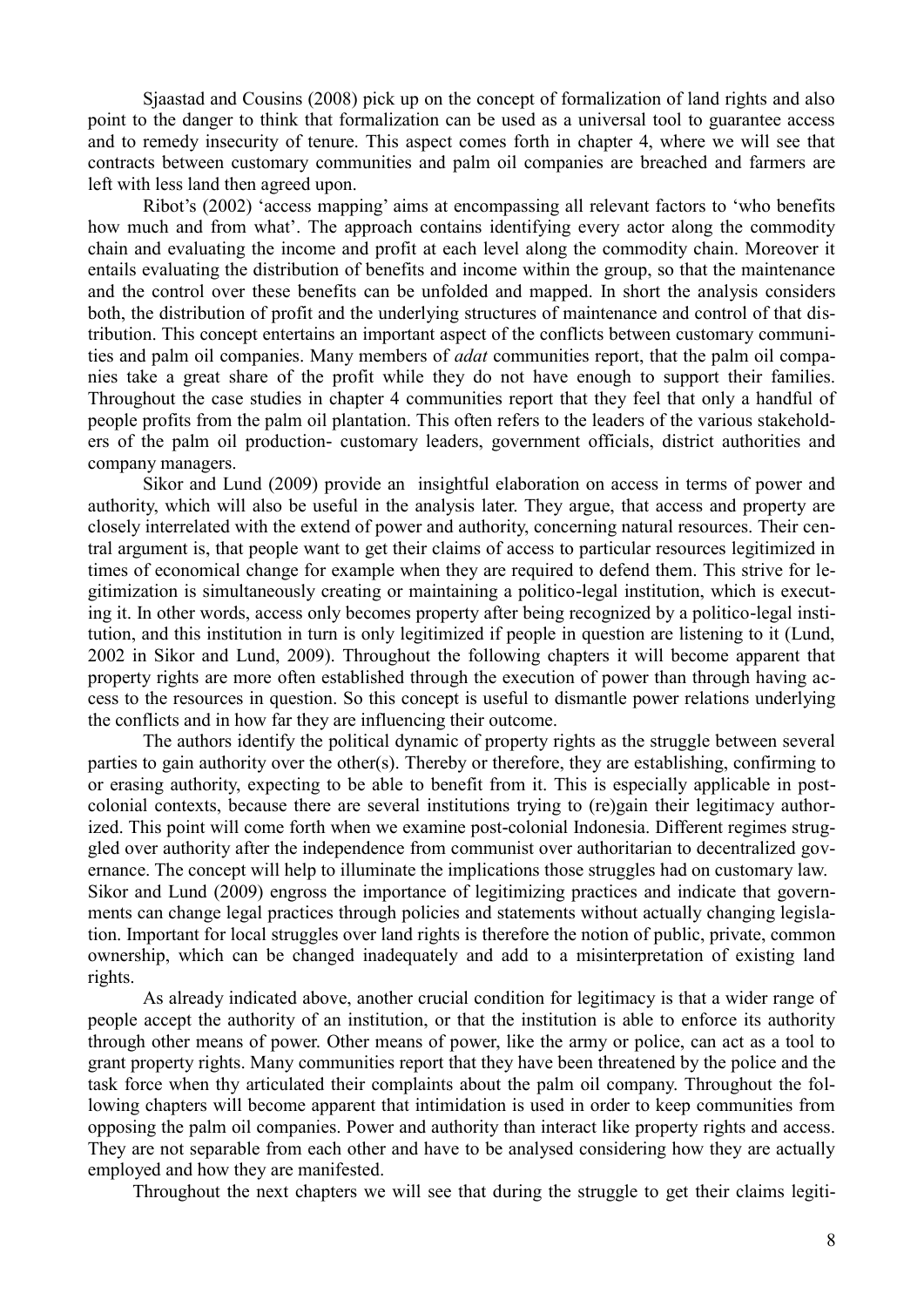Sjaastad and Cousins (2008) pick up on the concept of formalization of land rights and also point to the danger to think that formalization can be used as a universal tool to guarantee access and to remedy insecurity of tenure. This aspect comes forth in chapter 4, where we will see that contracts between customary communities and palm oil companies are breached and farmers are left with less land then agreed upon.

Ribot's (2002) 'access mapping' aims at encompassing all relevant factors to 'who benefits how much and from what'. The approach contains identifying every actor along the commodity chain and evaluating the income and profit at each level along the commodity chain. Moreover it entails evaluating the distribution of benefits and income within the group, so that the maintenance and the control over these benefits can be unfolded and mapped. In short the analysis considers both, the distribution of profit and the underlying structures of maintenance and control of that distribution. This concept entertains an important aspect of the conflicts between customary communities and palm oil companies. Many members of *adat* communities report, that the palm oil companies take a great share of the profit while they do not have enough to support their families. Throughout the case studies in chapter 4 communities report that they feel that only a handful of people profits from the palm oil plantation. This often refers to the leaders of the various stakeholders of the palm oil production- customary leaders, government officials, district authorities and company managers.

Sikor and Lund (2009) provide an insightful elaboration on access in terms of power and authority, which will also be useful in the analysis later. They argue, that access and property are closely interrelated with the extend of power and authority, concerning natural resources. Their central argument is, that people want to get their claims of access to particular resources legitimized in times of economical change for example when they are required to defend them. This strive for legitimization is simultaneously creating or maintaining a politico-legal institution, which is executing it. In other words, access only becomes property after being recognized by a politico-legal institution, and this institution in turn is only legitimized if people in question are listening to it (Lund, 2002 in Sikor and Lund, 2009). Throughout the following chapters it will become apparent that property rights are more often established through the execution of power than through having access to the resources in question. So this concept is useful to dismantle power relations underlying the conflicts and in how far they are influencing their outcome.

The authors identify the political dynamic of property rights as the struggle between several parties to gain authority over the other(s). Thereby or therefore, they are establishing, confirming to or erasing authority, expecting to be able to benefit from it. This is especially applicable in postcolonial contexts, because there are several institutions trying to (re)gain their legitimacy authorized. This point will come forth when we examine post-colonial Indonesia. Different regimes struggled over authority after the independence from communist over authoritarian to decentralized governance. The concept will help to illuminate the implications those struggles had on customary law. Sikor and Lund (2009) engross the importance of legitimizing practices and indicate that governments can change legal practices through policies and statements without actually changing legislation. Important for local struggles over land rights is therefore the notion of public, private, common ownership, which can be changed inadequately and add to a misinterpretation of existing land rights.

As already indicated above, another crucial condition for legitimacy is that a wider range of people accept the authority of an institution, or that the institution is able to enforce its authority through other means of power. Other means of power, like the army or police, can act as a tool to grant property rights. Many communities report that they have been threatened by the police and the task force when thy articulated their complaints about the palm oil company. Throughout the following chapters will become apparent that intimidation is used in order to keep communities from opposing the palm oil companies. Power and authority than interact like property rights and access. They are not separable from each other and have to be analysed considering how they are actually employed and how they are manifested.

Throughout the next chapters we will see that during the struggle to get their claims legiti-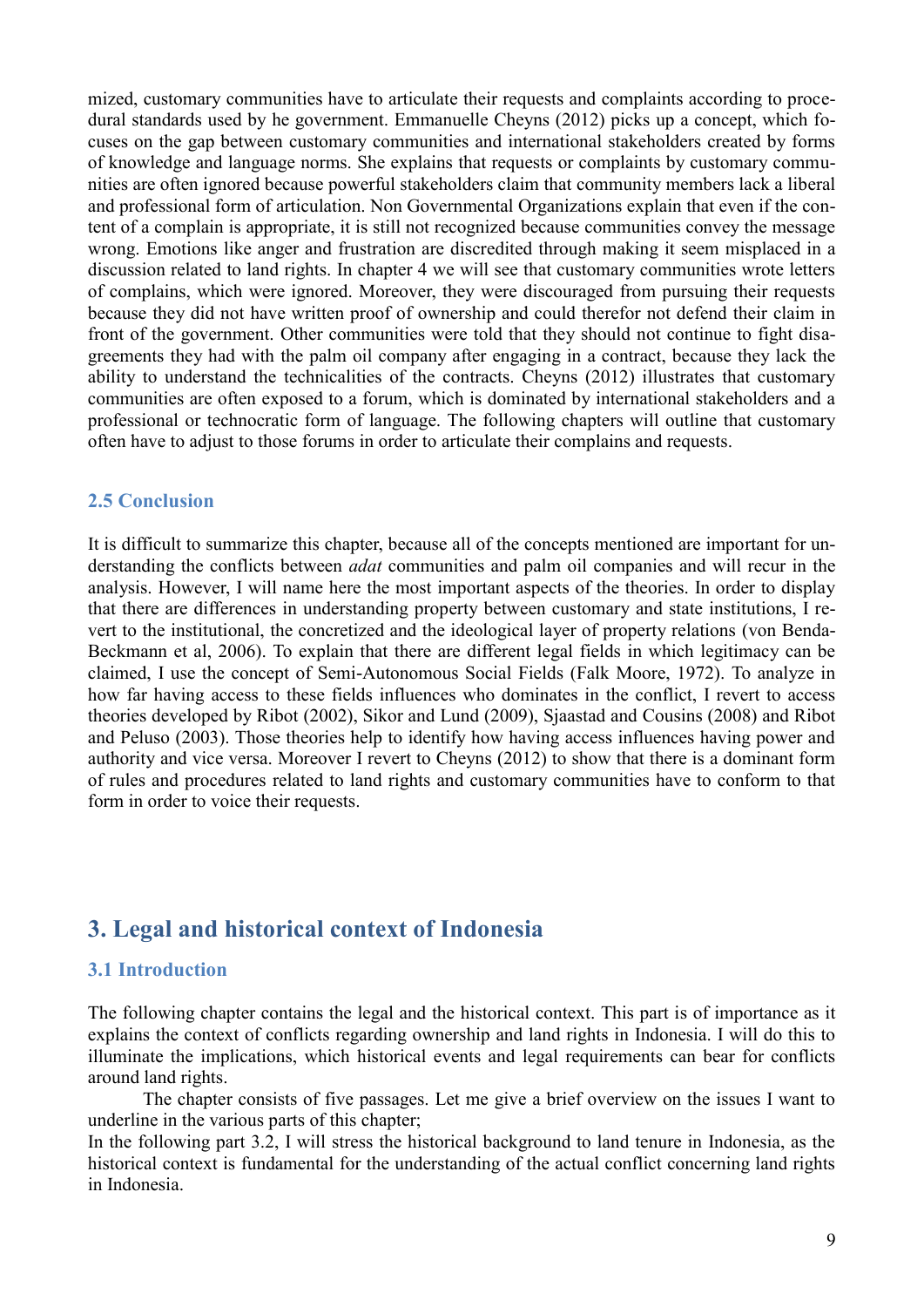mized, customary communities have to articulate their requests and complaints according to procedural standards used by he government. Emmanuelle Cheyns (2012) picks up a concept, which focuses on the gap between customary communities and international stakeholders created by forms of knowledge and language norms. She explains that requests or complaints by customary communities are often ignored because powerful stakeholders claim that community members lack a liberal and professional form of articulation. Non Governmental Organizations explain that even if the content of a complain is appropriate, it is still not recognized because communities convey the message wrong. Emotions like anger and frustration are discredited through making it seem misplaced in a discussion related to land rights. In chapter 4 we will see that customary communities wrote letters of complains, which were ignored. Moreover, they were discouraged from pursuing their requests because they did not have written proof of ownership and could therefor not defend their claim in front of the government. Other communities were told that they should not continue to fight disagreements they had with the palm oil company after engaging in a contract, because they lack the ability to understand the technicalities of the contracts. Cheyns (2012) illustrates that customary communities are often exposed to a forum, which is dominated by international stakeholders and a professional or technocratic form of language. The following chapters will outline that customary often have to adjust to those forums in order to articulate their complains and requests.

#### **2.5 Conclusion**

It is difficult to summarize this chapter, because all of the concepts mentioned are important for understanding the conflicts between *adat* communities and palm oil companies and will recur in the analysis. However, I will name here the most important aspects of the theories. In order to display that there are differences in understanding property between customary and state institutions, I revert to the institutional, the concretized and the ideological layer of property relations (von Benda-Beckmann et al, 2006). To explain that there are different legal fields in which legitimacy can be claimed, I use the concept of Semi-Autonomous Social Fields (Falk Moore, 1972). To analyze in how far having access to these fields influences who dominates in the conflict, I revert to access theories developed by Ribot (2002), Sikor and Lund (2009), Sjaastad and Cousins (2008) and Ribot and Peluso (2003). Those theories help to identify how having access influences having power and authority and vice versa. Moreover I revert to Cheyns (2012) to show that there is a dominant form of rules and procedures related to land rights and customary communities have to conform to that form in order to voice their requests.

# **3. Legal and historical context of Indonesia**

#### **3.1 Introduction**

The following chapter contains the legal and the historical context. This part is of importance as it explains the context of conflicts regarding ownership and land rights in Indonesia. I will do this to illuminate the implications, which historical events and legal requirements can bear for conflicts around land rights.

The chapter consists of five passages. Let me give a brief overview on the issues I want to underline in the various parts of this chapter;

In the following part 3.2, I will stress the historical background to land tenure in Indonesia, as the historical context is fundamental for the understanding of the actual conflict concerning land rights in Indonesia.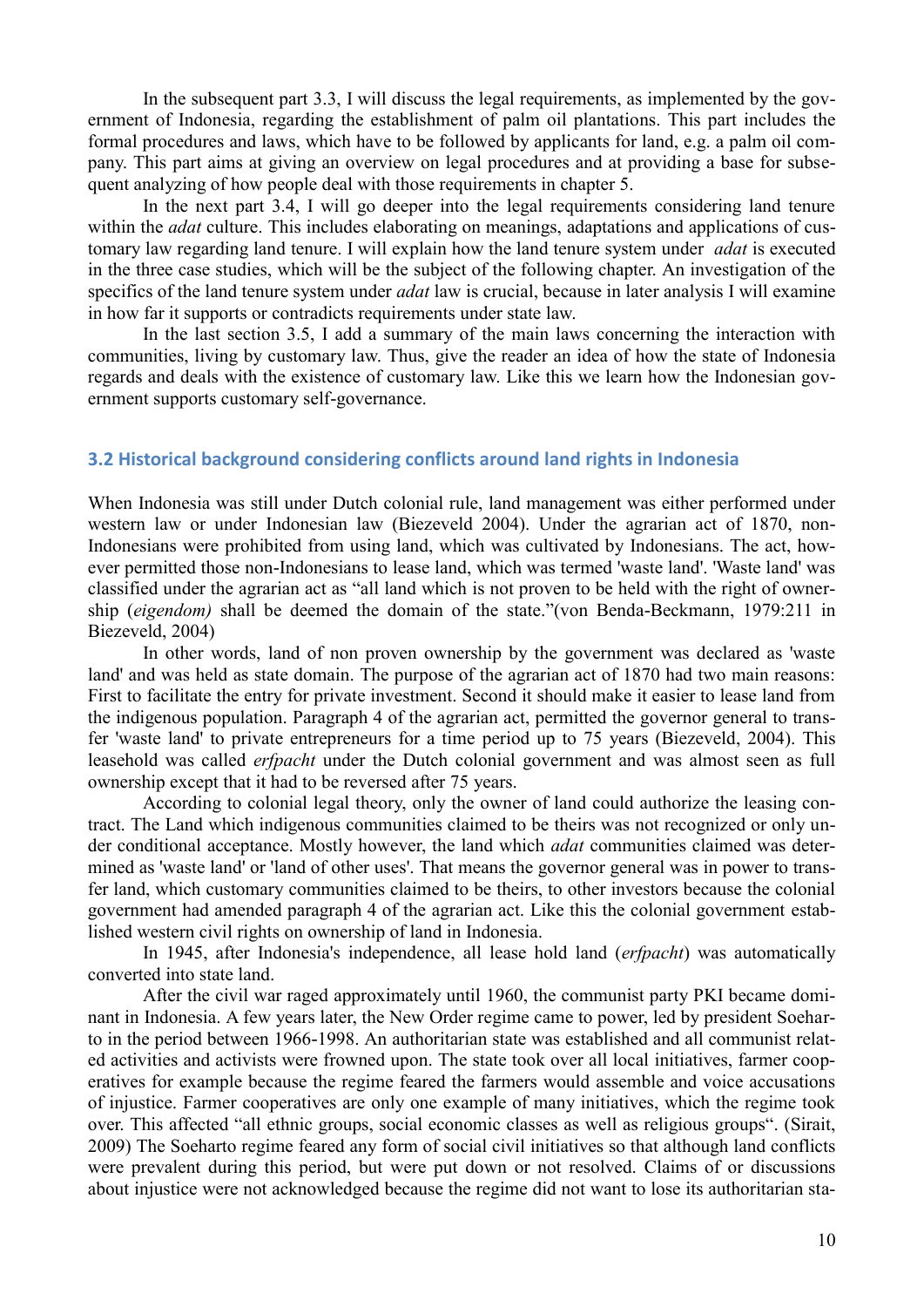In the subsequent part 3.3, I will discuss the legal requirements, as implemented by the government of Indonesia, regarding the establishment of palm oil plantations. This part includes the formal procedures and laws, which have to be followed by applicants for land, e.g. a palm oil company. This part aims at giving an overview on legal procedures and at providing a base for subsequent analyzing of how people deal with those requirements in chapter 5.

In the next part 3.4, I will go deeper into the legal requirements considering land tenure within the *adat* culture. This includes elaborating on meanings, adaptations and applications of customary law regarding land tenure. I will explain how the land tenure system under *adat* is executed in the three case studies, which will be the subject of the following chapter. An investigation of the specifics of the land tenure system under *adat* law is crucial, because in later analysis I will examine in how far it supports or contradicts requirements under state law.

In the last section 3.5, I add a summary of the main laws concerning the interaction with communities, living by customary law. Thus, give the reader an idea of how the state of Indonesia regards and deals with the existence of customary law. Like this we learn how the Indonesian government supports customary self-governance.

#### **3.2 Historical background considering conflicts around land rights in Indonesia**

When Indonesia was still under Dutch colonial rule, land management was either performed under western law or under Indonesian law (Biezeveld 2004). Under the agrarian act of 1870, non-Indonesians were prohibited from using land, which was cultivated by Indonesians. The act, however permitted those non-Indonesians to lease land, which was termed 'waste land'. 'Waste land' was classified under the agrarian act as "all land which is not proven to be held with the right of ownership (*eigendom)* shall be deemed the domain of the state."(von Benda-Beckmann, 1979:211 in Biezeveld, 2004)

In other words, land of non proven ownership by the government was declared as 'waste land' and was held as state domain. The purpose of the agrarian act of 1870 had two main reasons: First to facilitate the entry for private investment. Second it should make it easier to lease land from the indigenous population. Paragraph 4 of the agrarian act, permitted the governor general to transfer 'waste land' to private entrepreneurs for a time period up to 75 years (Biezeveld, 2004). This leasehold was called *erfpacht* under the Dutch colonial government and was almost seen as full ownership except that it had to be reversed after 75 years.

According to colonial legal theory, only the owner of land could authorize the leasing contract. The Land which indigenous communities claimed to be theirs was not recognized or only under conditional acceptance. Mostly however, the land which *adat* communities claimed was determined as 'waste land' or 'land of other uses'. That means the governor general was in power to transfer land, which customary communities claimed to be theirs, to other investors because the colonial government had amended paragraph 4 of the agrarian act. Like this the colonial government established western civil rights on ownership of land in Indonesia.

In 1945, after Indonesia's independence, all lease hold land (*erfpacht*) was automatically converted into state land.

After the civil war raged approximately until 1960, the communist party PKI became dominant in Indonesia. A few years later, the New Order regime came to power, led by president Soeharto in the period between 1966-1998. An authoritarian state was established and all communist related activities and activists were frowned upon. The state took over all local initiatives, farmer cooperatives for example because the regime feared the farmers would assemble and voice accusations of injustice. Farmer cooperatives are only one example of many initiatives, which the regime took over. This affected "all ethnic groups, social economic classes as well as religious groups". (Sirait, 2009) The Soeharto regime feared any form of social civil initiatives so that although land conflicts were prevalent during this period, but were put down or not resolved. Claims of or discussions about injustice were not acknowledged because the regime did not want to lose its authoritarian sta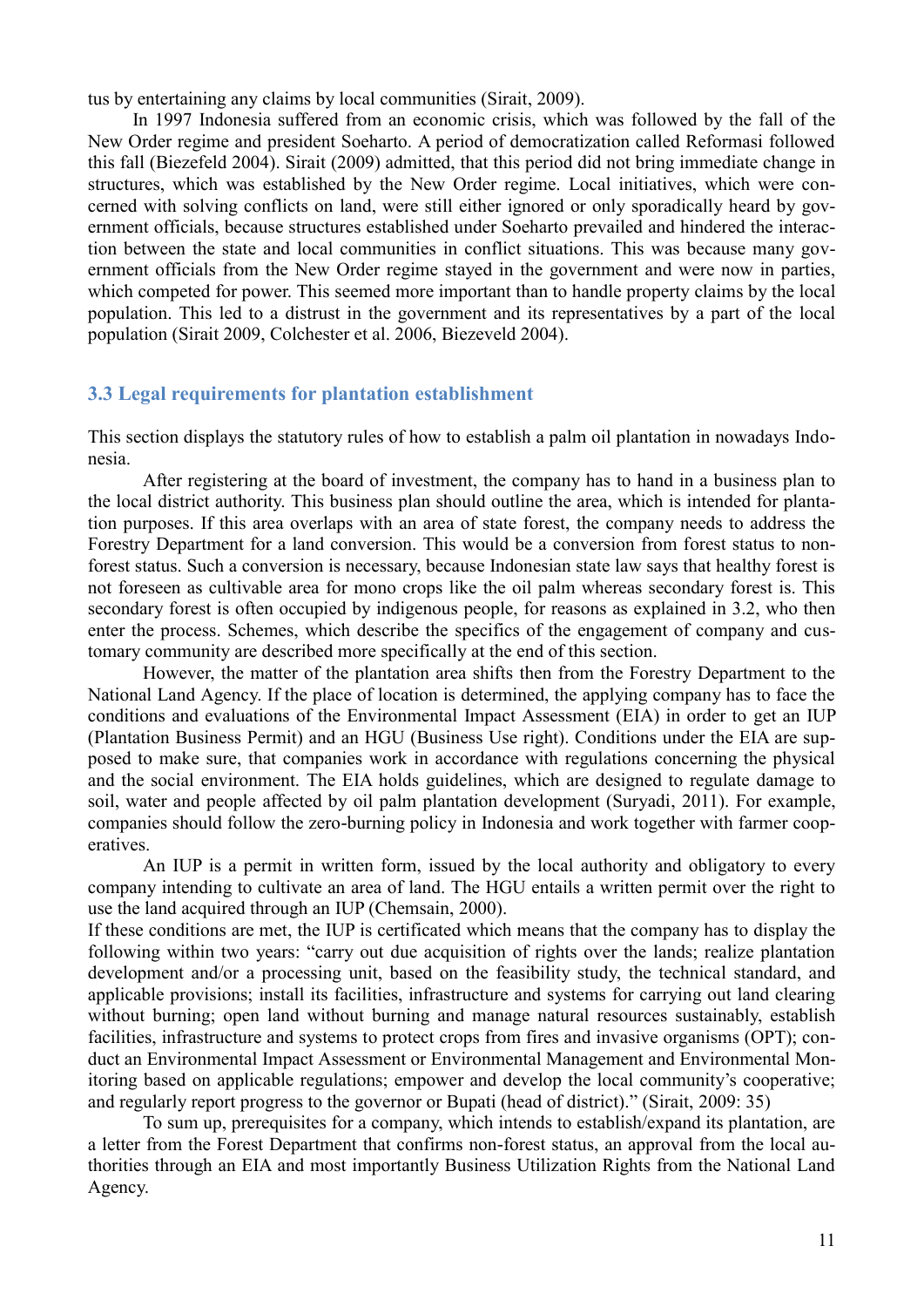tus by entertaining any claims by local communities (Sirait, 2009).

In 1997 Indonesia suffered from an economic crisis, which was followed by the fall of the New Order regime and president Soeharto. A period of democratization called Reformasi followed this fall (Biezefeld 2004). Sirait (2009) admitted, that this period did not bring immediate change in structures, which was established by the New Order regime. Local initiatives, which were concerned with solving conflicts on land, were still either ignored or only sporadically heard by government officials, because structures established under Soeharto prevailed and hindered the interaction between the state and local communities in conflict situations. This was because many government officials from the New Order regime stayed in the government and were now in parties, which competed for power. This seemed more important than to handle property claims by the local population. This led to a distrust in the government and its representatives by a part of the local population (Sirait 2009, Colchester et al. 2006, Biezeveld 2004).

#### **3.3 Legal requirements for plantation establishment**

This section displays the statutory rules of how to establish a palm oil plantation in nowadays Indonesia.

After registering at the board of investment, the company has to hand in a business plan to the local district authority. This business plan should outline the area, which is intended for plantation purposes. If this area overlaps with an area of state forest, the company needs to address the Forestry Department for a land conversion. This would be a conversion from forest status to nonforest status. Such a conversion is necessary, because Indonesian state law says that healthy forest is not foreseen as cultivable area for mono crops like the oil palm whereas secondary forest is. This secondary forest is often occupied by indigenous people, for reasons as explained in 3.2, who then enter the process. Schemes, which describe the specifics of the engagement of company and customary community are described more specifically at the end of this section.

However, the matter of the plantation area shifts then from the Forestry Department to the National Land Agency. If the place of location is determined, the applying company has to face the conditions and evaluations of the Environmental Impact Assessment (EIA) in order to get an IUP (Plantation Business Permit) and an HGU (Business Use right). Conditions under the EIA are supposed to make sure, that companies work in accordance with regulations concerning the physical and the social environment. The EIA holds guidelines, which are designed to regulate damage to soil, water and people affected by oil palm plantation development (Suryadi, 2011). For example, companies should follow the zero-burning policy in Indonesia and work together with farmer cooperatives.

An IUP is a permit in written form, issued by the local authority and obligatory to every company intending to cultivate an area of land. The HGU entails a written permit over the right to use the land acquired through an IUP (Chemsain, 2000).

If these conditions are met, the IUP is certificated which means that the company has to display the following within two years: "carry out due acquisition of rights over the lands; realize plantation development and/or a processing unit, based on the feasibility study, the technical standard, and applicable provisions; install its facilities, infrastructure and systems for carrying out land clearing without burning; open land without burning and manage natural resources sustainably, establish facilities, infrastructure and systems to protect crops from fires and invasive organisms (OPT); conduct an Environmental Impact Assessment or Environmental Management and Environmental Monitoring based on applicable regulations; empower and develop the local community's cooperative; and regularly report progress to the governor or Bupati (head of district)." (Sirait, 2009: 35)

To sum up, prerequisites for a company, which intends to establish/expand its plantation, are a letter from the Forest Department that confirms non-forest status, an approval from the local authorities through an EIA and most importantly Business Utilization Rights from the National Land Agency.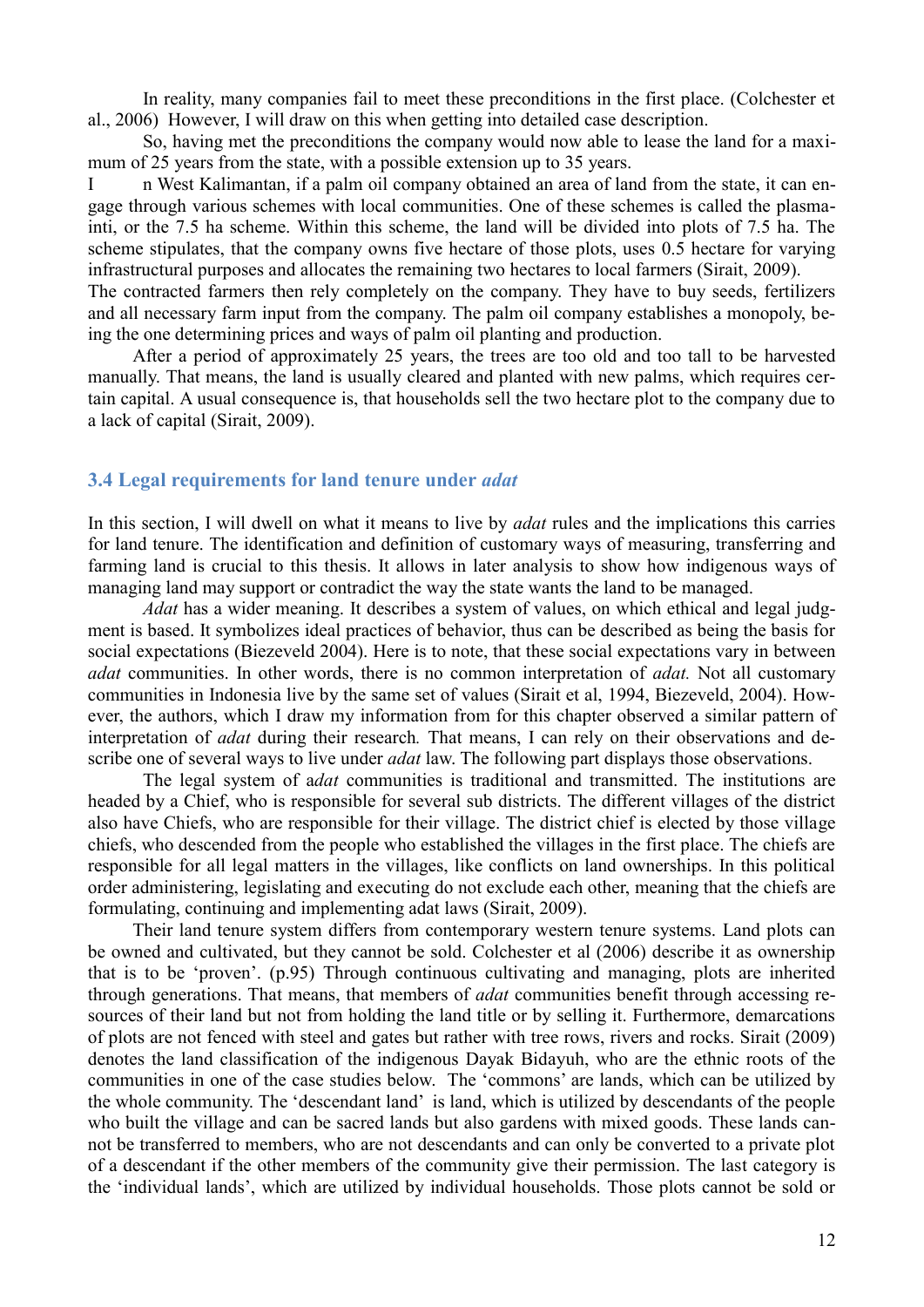In reality, many companies fail to meet these preconditions in the first place. (Colchester et al., 2006) However, I will draw on this when getting into detailed case description.

So, having met the preconditions the company would now able to lease the land for a maximum of 25 years from the state, with a possible extension up to 35 years.

I n West Kalimantan, if a palm oil company obtained an area of land from the state, it can engage through various schemes with local communities. One of these schemes is called the plasmainti, or the 7.5 ha scheme. Within this scheme, the land will be divided into plots of 7.5 ha. The scheme stipulates, that the company owns five hectare of those plots, uses 0.5 hectare for varying infrastructural purposes and allocates the remaining two hectares to local farmers (Sirait, 2009).

The contracted farmers then rely completely on the company. They have to buy seeds, fertilizers and all necessary farm input from the company. The palm oil company establishes a monopoly, being the one determining prices and ways of palm oil planting and production.

After a period of approximately 25 years, the trees are too old and too tall to be harvested manually. That means, the land is usually cleared and planted with new palms, which requires certain capital. A usual consequence is, that households sell the two hectare plot to the company due to a lack of capital (Sirait, 2009).

#### **3.4 Legal requirements for land tenure under** *adat*

In this section, I will dwell on what it means to live by *adat* rules and the implications this carries for land tenure. The identification and definition of customary ways of measuring, transferring and farming land is crucial to this thesis. It allows in later analysis to show how indigenous ways of managing land may support or contradict the way the state wants the land to be managed.

*Adat* has a wider meaning. It describes a system of values, on which ethical and legal judgment is based. It symbolizes ideal practices of behavior, thus can be described as being the basis for social expectations (Biezeveld 2004). Here is to note, that these social expectations vary in between *adat* communities. In other words, there is no common interpretation of *adat.* Not all customary communities in Indonesia live by the same set of values (Sirait et al, 1994, Biezeveld, 2004). However, the authors, which I draw my information from for this chapter observed a similar pattern of interpretation of *adat* during their research*.* That means, I can rely on their observations and describe one of several ways to live under *adat* law. The following part displays those observations.

The legal system of a*dat* communities is traditional and transmitted. The institutions are headed by a Chief, who is responsible for several sub districts. The different villages of the district also have Chiefs, who are responsible for their village. The district chief is elected by those village chiefs, who descended from the people who established the villages in the first place. The chiefs are responsible for all legal matters in the villages, like conflicts on land ownerships. In this political order administering, legislating and executing do not exclude each other, meaning that the chiefs are formulating, continuing and implementing adat laws (Sirait, 2009).

Their land tenure system differs from contemporary western tenure systems. Land plots can be owned and cultivated, but they cannot be sold. Colchester et al (2006) describe it as ownership that is to be 'proven'. (p.95) Through continuous cultivating and managing, plots are inherited through generations. That means, that members of *adat* communities benefit through accessing resources of their land but not from holding the land title or by selling it. Furthermore, demarcations of plots are not fenced with steel and gates but rather with tree rows, rivers and rocks. Sirait (2009) denotes the land classification of the indigenous Dayak Bidayuh, who are the ethnic roots of the communities in one of the case studies below. The 'commons' are lands, which can be utilized by the whole community. The 'descendant land' is land, which is utilized by descendants of the people who built the village and can be sacred lands but also gardens with mixed goods. These lands cannot be transferred to members, who are not descendants and can only be converted to a private plot of a descendant if the other members of the community give their permission. The last category is the 'individual lands', which are utilized by individual households. Those plots cannot be sold or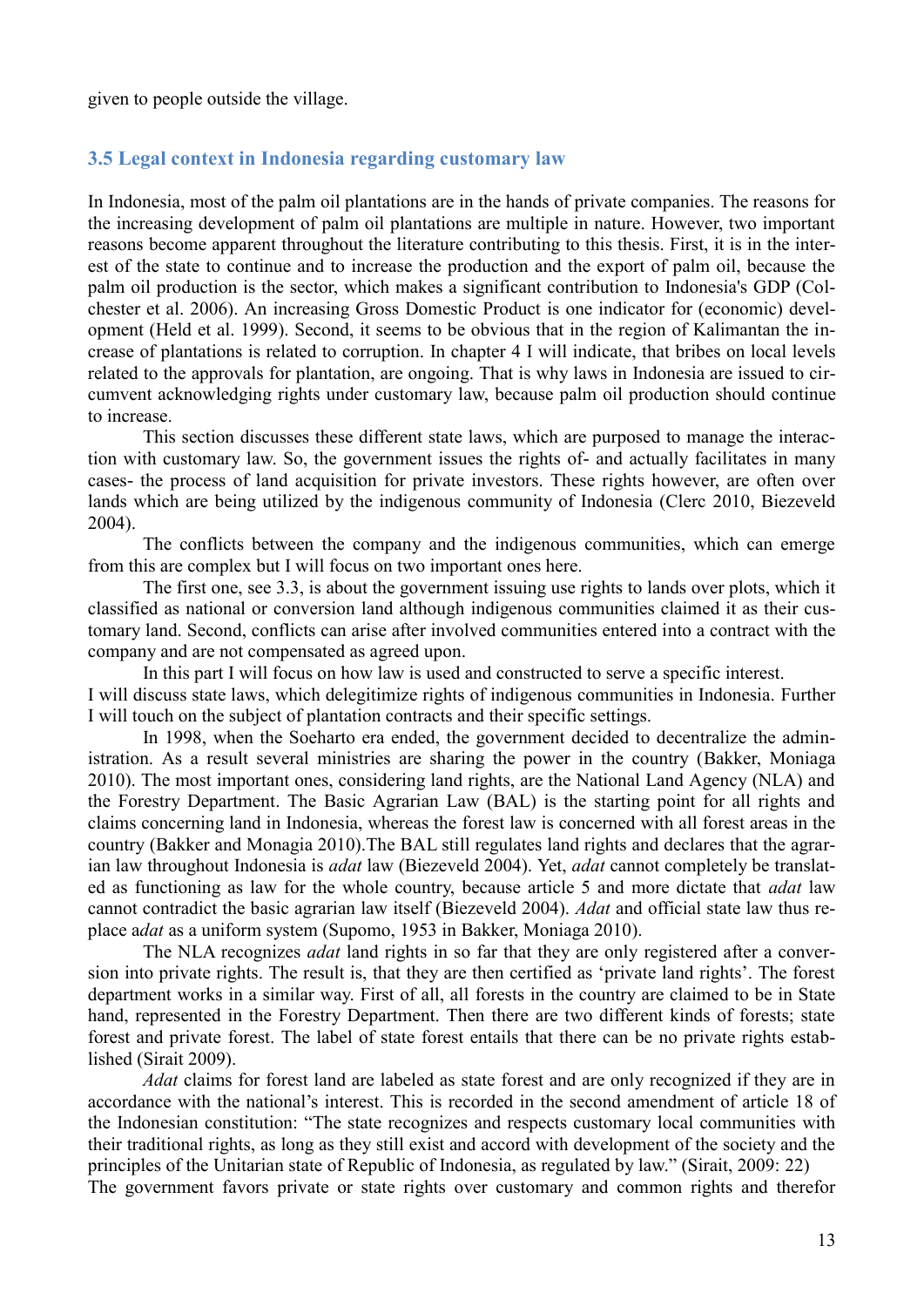given to people outside the village.

#### **3.5 Legal context in Indonesia regarding customary law**

In Indonesia, most of the palm oil plantations are in the hands of private companies. The reasons for the increasing development of palm oil plantations are multiple in nature. However, two important reasons become apparent throughout the literature contributing to this thesis. First, it is in the interest of the state to continue and to increase the production and the export of palm oil, because the palm oil production is the sector, which makes a significant contribution to Indonesia's GDP (Colchester et al. 2006). An increasing Gross Domestic Product is one indicator for (economic) development (Held et al. 1999). Second, it seems to be obvious that in the region of Kalimantan the increase of plantations is related to corruption. In chapter 4 I will indicate, that bribes on local levels related to the approvals for plantation, are ongoing. That is why laws in Indonesia are issued to circumvent acknowledging rights under customary law, because palm oil production should continue to increase.

This section discusses these different state laws, which are purposed to manage the interaction with customary law. So, the government issues the rights of- and actually facilitates in many cases- the process of land acquisition for private investors. These rights however, are often over lands which are being utilized by the indigenous community of Indonesia (Clerc 2010, Biezeveld 2004).

The conflicts between the company and the indigenous communities, which can emerge from this are complex but I will focus on two important ones here.

The first one, see 3.3, is about the government issuing use rights to lands over plots, which it classified as national or conversion land although indigenous communities claimed it as their customary land. Second, conflicts can arise after involved communities entered into a contract with the company and are not compensated as agreed upon.

In this part I will focus on how law is used and constructed to serve a specific interest. I will discuss state laws, which delegitimize rights of indigenous communities in Indonesia. Further I will touch on the subject of plantation contracts and their specific settings.

In 1998, when the Soeharto era ended, the government decided to decentralize the administration. As a result several ministries are sharing the power in the country (Bakker, Moniaga 2010). The most important ones, considering land rights, are the National Land Agency (NLA) and the Forestry Department. The Basic Agrarian Law (BAL) is the starting point for all rights and claims concerning land in Indonesia, whereas the forest law is concerned with all forest areas in the country (Bakker and Monagia 2010).The BAL still regulates land rights and declares that the agrarian law throughout Indonesia is *adat* law (Biezeveld 2004). Yet, *adat* cannot completely be translated as functioning as law for the whole country, because article 5 and more dictate that *adat* law cannot contradict the basic agrarian law itself (Biezeveld 2004). *Adat* and official state law thus replace a*dat* as a uniform system (Supomo, 1953 in Bakker, Moniaga 2010).

The NLA recognizes *adat* land rights in so far that they are only registered after a conversion into private rights. The result is, that they are then certified as 'private land rights'. The forest department works in a similar way. First of all, all forests in the country are claimed to be in State hand, represented in the Forestry Department. Then there are two different kinds of forests; state forest and private forest. The label of state forest entails that there can be no private rights established (Sirait 2009).

*Adat* claims for forest land are labeled as state forest and are only recognized if they are in accordance with the national's interest. This is recorded in the second amendment of article 18 of the Indonesian constitution: "The state recognizes and respects customary local communities with their traditional rights, as long as they still exist and accord with development of the society and the principles of the Unitarian state of Republic of Indonesia, as regulated by law." (Sirait, 2009: 22) The government favors private or state rights over customary and common rights and therefor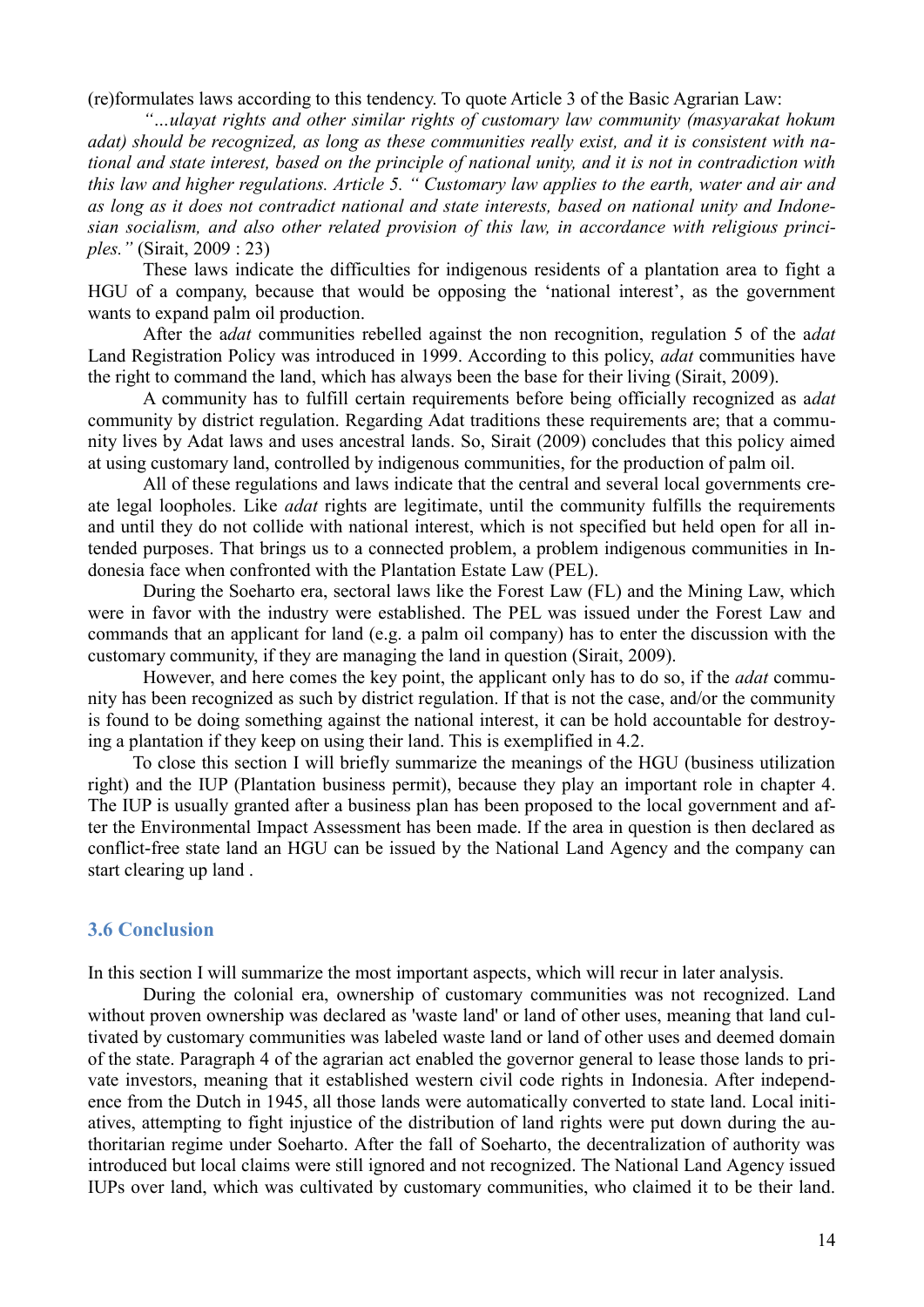(re)formulates laws according to this tendency. To quote Article 3 of the Basic Agrarian Law:

*"…ulayat rights and other similar rights of customary law community (masyarakat hokum adat) should be recognized, as long as these communities really exist, and it is consistent with national and state interest, based on the principle of national unity, and it is not in contradiction with this law and higher regulations. Article 5. " Customary law applies to the earth, water and air and as long as it does not contradict national and state interests, based on national unity and Indonesian socialism, and also other related provision of this law, in accordance with religious principles."* (Sirait, 2009 : 23)

These laws indicate the difficulties for indigenous residents of a plantation area to fight a HGU of a company, because that would be opposing the 'national interest', as the government wants to expand palm oil production.

After the a*dat* communities rebelled against the non recognition, regulation 5 of the a*dat* Land Registration Policy was introduced in 1999. According to this policy, *adat* communities have the right to command the land, which has always been the base for their living (Sirait, 2009).

A community has to fulfill certain requirements before being officially recognized as a*dat* community by district regulation. Regarding Adat traditions these requirements are; that a community lives by Adat laws and uses ancestral lands. So, Sirait (2009) concludes that this policy aimed at using customary land, controlled by indigenous communities, for the production of palm oil.

All of these regulations and laws indicate that the central and several local governments create legal loopholes. Like *adat* rights are legitimate, until the community fulfills the requirements and until they do not collide with national interest, which is not specified but held open for all intended purposes. That brings us to a connected problem, a problem indigenous communities in Indonesia face when confronted with the Plantation Estate Law (PEL).

During the Soeharto era, sectoral laws like the Forest Law (FL) and the Mining Law, which were in favor with the industry were established. The PEL was issued under the Forest Law and commands that an applicant for land (e.g. a palm oil company) has to enter the discussion with the customary community, if they are managing the land in question (Sirait, 2009).

However, and here comes the key point, the applicant only has to do so, if the *adat* community has been recognized as such by district regulation. If that is not the case, and/or the community is found to be doing something against the national interest, it can be hold accountable for destroying a plantation if they keep on using their land. This is exemplified in 4.2.

To close this section I will briefly summarize the meanings of the HGU (business utilization right) and the IUP (Plantation business permit), because they play an important role in chapter 4. The IUP is usually granted after a business plan has been proposed to the local government and after the Environmental Impact Assessment has been made. If the area in question is then declared as conflict-free state land an HGU can be issued by the National Land Agency and the company can start clearing up land .

#### **3.6 Conclusion**

In this section I will summarize the most important aspects, which will recur in later analysis.

During the colonial era, ownership of customary communities was not recognized. Land without proven ownership was declared as 'waste land' or land of other uses, meaning that land cultivated by customary communities was labeled waste land or land of other uses and deemed domain of the state. Paragraph 4 of the agrarian act enabled the governor general to lease those lands to private investors, meaning that it established western civil code rights in Indonesia. After independence from the Dutch in 1945, all those lands were automatically converted to state land. Local initiatives, attempting to fight injustice of the distribution of land rights were put down during the authoritarian regime under Soeharto. After the fall of Soeharto, the decentralization of authority was introduced but local claims were still ignored and not recognized. The National Land Agency issued IUPs over land, which was cultivated by customary communities, who claimed it to be their land.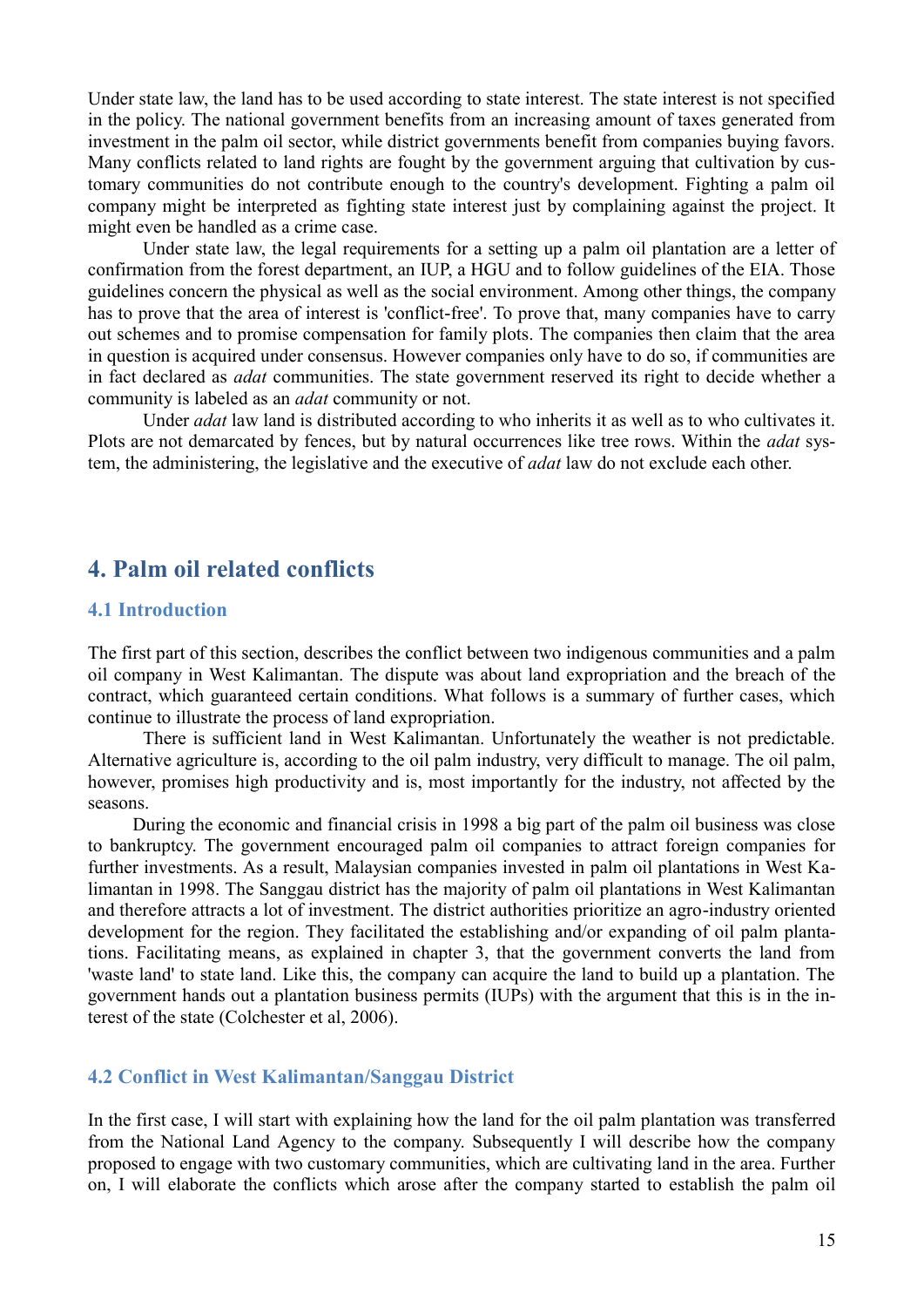Under state law, the land has to be used according to state interest. The state interest is not specified in the policy. The national government benefits from an increasing amount of taxes generated from investment in the palm oil sector, while district governments benefit from companies buying favors. Many conflicts related to land rights are fought by the government arguing that cultivation by customary communities do not contribute enough to the country's development. Fighting a palm oil company might be interpreted as fighting state interest just by complaining against the project. It might even be handled as a crime case.

Under state law, the legal requirements for a setting up a palm oil plantation are a letter of confirmation from the forest department, an IUP, a HGU and to follow guidelines of the EIA. Those guidelines concern the physical as well as the social environment. Among other things, the company has to prove that the area of interest is 'conflict-free'. To prove that, many companies have to carry out schemes and to promise compensation for family plots. The companies then claim that the area in question is acquired under consensus. However companies only have to do so, if communities are in fact declared as *adat* communities. The state government reserved its right to decide whether a community is labeled as an *adat* community or not.

Under *adat* law land is distributed according to who inherits it as well as to who cultivates it. Plots are not demarcated by fences, but by natural occurrences like tree rows. Within the *adat* system, the administering, the legislative and the executive of *adat* law do not exclude each other.

# **4. Palm oil related conflicts**

#### **4.1 Introduction**

The first part of this section, describes the conflict between two indigenous communities and a palm oil company in West Kalimantan. The dispute was about land expropriation and the breach of the contract, which guaranteed certain conditions. What follows is a summary of further cases, which continue to illustrate the process of land expropriation.

There is sufficient land in West Kalimantan. Unfortunately the weather is not predictable. Alternative agriculture is, according to the oil palm industry, very difficult to manage. The oil palm, however, promises high productivity and is, most importantly for the industry, not affected by the seasons.

During the economic and financial crisis in 1998 a big part of the palm oil business was close to bankruptcy. The government encouraged palm oil companies to attract foreign companies for further investments. As a result, Malaysian companies invested in palm oil plantations in West Kalimantan in 1998. The Sanggau district has the majority of palm oil plantations in West Kalimantan and therefore attracts a lot of investment. The district authorities prioritize an agro-industry oriented development for the region. They facilitated the establishing and/or expanding of oil palm plantations. Facilitating means, as explained in chapter 3, that the government converts the land from 'waste land' to state land. Like this, the company can acquire the land to build up a plantation. The government hands out a plantation business permits (IUPs) with the argument that this is in the interest of the state (Colchester et al, 2006).

#### **4.2 Conflict in West Kalimantan/Sanggau District**

In the first case, I will start with explaining how the land for the oil palm plantation was transferred from the National Land Agency to the company. Subsequently I will describe how the company proposed to engage with two customary communities, which are cultivating land in the area. Further on, I will elaborate the conflicts which arose after the company started to establish the palm oil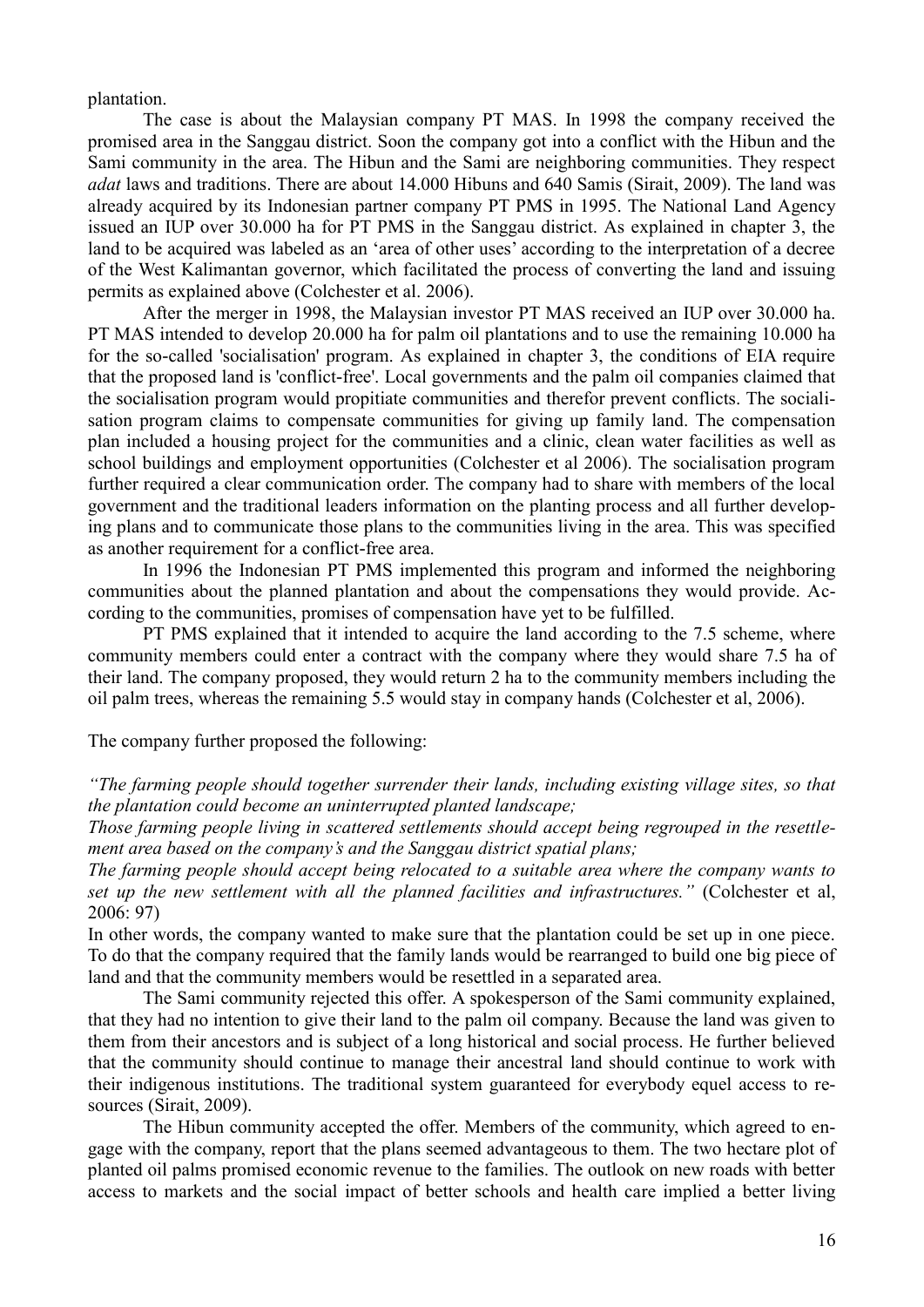plantation.

The case is about the Malaysian company PT MAS. In 1998 the company received the promised area in the Sanggau district. Soon the company got into a conflict with the Hibun and the Sami community in the area. The Hibun and the Sami are neighboring communities. They respect *adat* laws and traditions. There are about 14.000 Hibuns and 640 Samis (Sirait, 2009). The land was already acquired by its Indonesian partner company PT PMS in 1995. The National Land Agency issued an IUP over 30.000 ha for PT PMS in the Sanggau district. As explained in chapter 3, the land to be acquired was labeled as an 'area of other uses' according to the interpretation of a decree of the West Kalimantan governor, which facilitated the process of converting the land and issuing permits as explained above (Colchester et al. 2006).

After the merger in 1998, the Malaysian investor PT MAS received an IUP over 30.000 ha. PT MAS intended to develop 20.000 ha for palm oil plantations and to use the remaining 10.000 ha for the so-called 'socialisation' program. As explained in chapter 3, the conditions of EIA require that the proposed land is 'conflict-free'. Local governments and the palm oil companies claimed that the socialisation program would propitiate communities and therefor prevent conflicts. The socialisation program claims to compensate communities for giving up family land. The compensation plan included a housing project for the communities and a clinic, clean water facilities as well as school buildings and employment opportunities (Colchester et al 2006). The socialisation program further required a clear communication order. The company had to share with members of the local government and the traditional leaders information on the planting process and all further developing plans and to communicate those plans to the communities living in the area. This was specified as another requirement for a conflict-free area.

In 1996 the Indonesian PT PMS implemented this program and informed the neighboring communities about the planned plantation and about the compensations they would provide. According to the communities, promises of compensation have yet to be fulfilled.

PT PMS explained that it intended to acquire the land according to the 7.5 scheme, where community members could enter a contract with the company where they would share 7.5 ha of their land. The company proposed, they would return 2 ha to the community members including the oil palm trees, whereas the remaining 5.5 would stay in company hands (Colchester et al, 2006).

The company further proposed the following:

*"The farming people should together surrender their lands, including existing village sites, so that the plantation could become an uninterrupted planted landscape;* 

*Those farming people living in scattered settlements should accept being regrouped in the resettlement area based on the company's and the Sanggau district spatial plans;* 

*The farming people should accept being relocated to a suitable area where the company wants to set up the new settlement with all the planned facilities and infrastructures."* (Colchester et al, 2006: 97)

In other words, the company wanted to make sure that the plantation could be set up in one piece. To do that the company required that the family lands would be rearranged to build one big piece of land and that the community members would be resettled in a separated area.

The Sami community rejected this offer. A spokesperson of the Sami community explained, that they had no intention to give their land to the palm oil company. Because the land was given to them from their ancestors and is subject of a long historical and social process. He further believed that the community should continue to manage their ancestral land should continue to work with their indigenous institutions. The traditional system guaranteed for everybody equel access to resources (Sirait, 2009).

The Hibun community accepted the offer. Members of the community, which agreed to engage with the company, report that the plans seemed advantageous to them. The two hectare plot of planted oil palms promised economic revenue to the families. The outlook on new roads with better access to markets and the social impact of better schools and health care implied a better living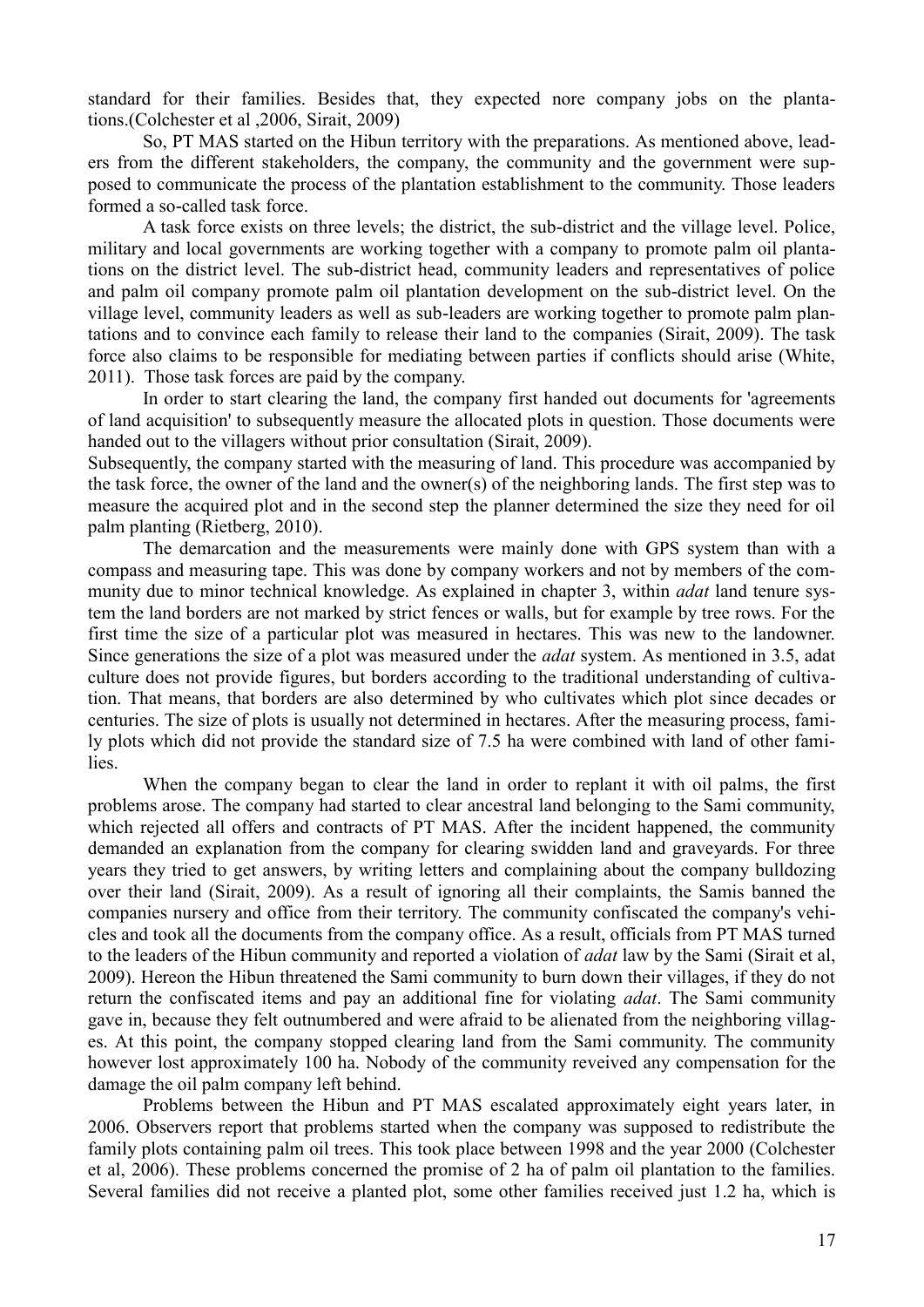standard for their families. Besides that, they expected nore company jobs on the plantations.(Colchester et al ,2006, Sirait, 2009)

So, PT MAS started on the Hibun territory with the preparations. As mentioned above, leaders from the different stakeholders, the company, the community and the government were supposed to communicate the process of the plantation establishment to the community. Those leaders formed a so-called task force.

A task force exists on three levels; the district, the sub-district and the village level. Police, military and local governments are working together with a company to promote palm oil plantations on the district level. The sub-district head, community leaders and representatives of police and palm oil company promote palm oil plantation development on the sub-district level. On the village level, community leaders as well as sub-leaders are working together to promote palm plantations and to convince each family to release their land to the companies (Sirait, 2009). The task force also claims to be responsible for mediating between parties if conflicts should arise (White, 2011). Those task forces are paid by the company.

In order to start clearing the land, the company first handed out documents for 'agreements of land acquisition' to subsequently measure the allocated plots in question. Those documents were handed out to the villagers without prior consultation (Sirait, 2009).

Subsequently, the company started with the measuring of land. This procedure was accompanied by the task force, the owner of the land and the owner(s) of the neighboring lands. The first step was to measure the acquired plot and in the second step the planner determined the size they need for oil palm planting (Rietberg, 2010).

The demarcation and the measurements were mainly done with GPS system than with a compass and measuring tape. This was done by company workers and not by members of the community due to minor technical knowledge. As explained in chapter 3, within *adat* land tenure system the land borders are not marked by strict fences or walls, but for example by tree rows. For the first time the size of a particular plot was measured in hectares. This was new to the landowner. Since generations the size of a plot was measured under the *adat* system. As mentioned in 3.5, adat culture does not provide figures, but borders according to the traditional understanding of cultivation. That means, that borders are also determined by who cultivates which plot since decades or centuries. The size of plots is usually not determined in hectares. After the measuring process, family plots which did not provide the standard size of 7.5 ha were combined with land of other families.

When the company began to clear the land in order to replant it with oil palms, the first problems arose. The company had started to clear ancestral land belonging to the Sami community, which rejected all offers and contracts of PT MAS. After the incident happened, the community demanded an explanation from the company for clearing swidden land and graveyards. For three years they tried to get answers, by writing letters and complaining about the company bulldozing over their land (Sirait, 2009). As a result of ignoring all their complaints, the Samis banned the companies nursery and office from their territory. The community confiscated the company's vehicles and took all the documents from the company office. As a result, officials from PT MAS turned to the leaders of the Hibun community and reported a violation of *adat* law by the Sami (Sirait et al, 2009). Hereon the Hibun threatened the Sami community to burn down their villages, if they do not return the confiscated items and pay an additional fine for violating *adat*. The Sami community gave in, because they felt outnumbered and were afraid to be alienated from the neighboring villages. At this point, the company stopped clearing land from the Sami community. The community however lost approximately 100 ha. Nobody of the community reveived any compensation for the damage the oil palm company left behind.

Problems between the Hibun and PT MAS escalated approximately eight years later, in 2006. Observers report that problems started when the company was supposed to redistribute the family plots containing palm oil trees. This took place between 1998 and the year 2000 (Colchester et al, 2006). These problems concerned the promise of 2 ha of palm oil plantation to the families. Several families did not receive a planted plot, some other families received just 1.2 ha, which is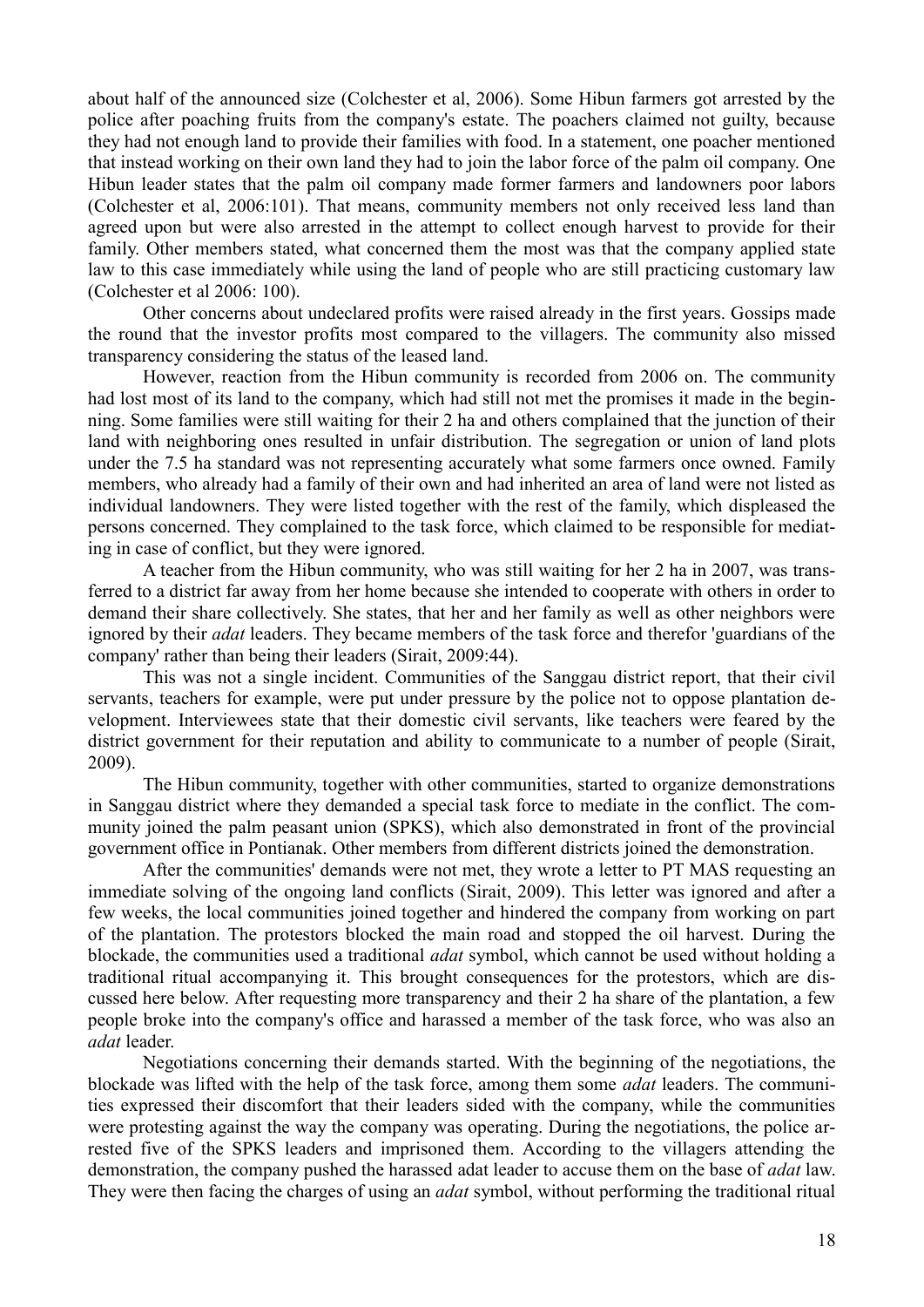about half of the announced size (Colchester et al, 2006). Some Hibun farmers got arrested by the police after poaching fruits from the company's estate. The poachers claimed not guilty, because they had not enough land to provide their families with food. In a statement, one poacher mentioned that instead working on their own land they had to join the labor force of the palm oil company. One Hibun leader states that the palm oil company made former farmers and landowners poor labors (Colchester et al, 2006:101). That means, community members not only received less land than agreed upon but were also arrested in the attempt to collect enough harvest to provide for their family. Other members stated, what concerned them the most was that the company applied state law to this case immediately while using the land of people who are still practicing customary law (Colchester et al 2006: 100).

Other concerns about undeclared profits were raised already in the first years. Gossips made the round that the investor profits most compared to the villagers. The community also missed transparency considering the status of the leased land.

However, reaction from the Hibun community is recorded from 2006 on. The community had lost most of its land to the company, which had still not met the promises it made in the beginning. Some families were still waiting for their 2 ha and others complained that the junction of their land with neighboring ones resulted in unfair distribution. The segregation or union of land plots under the 7.5 ha standard was not representing accurately what some farmers once owned. Family members, who already had a family of their own and had inherited an area of land were not listed as individual landowners. They were listed together with the rest of the family, which displeased the persons concerned. They complained to the task force, which claimed to be responsible for mediating in case of conflict, but they were ignored.

A teacher from the Hibun community, who was still waiting for her 2 ha in 2007, was transferred to a district far away from her home because she intended to cooperate with others in order to demand their share collectively. She states, that her and her family as well as other neighbors were ignored by their *adat* leaders. They became members of the task force and therefor 'guardians of the company' rather than being their leaders (Sirait, 2009:44).

This was not a single incident. Communities of the Sanggau district report, that their civil servants, teachers for example, were put under pressure by the police not to oppose plantation development. Interviewees state that their domestic civil servants, like teachers were feared by the district government for their reputation and ability to communicate to a number of people (Sirait, 2009).

The Hibun community, together with other communities, started to organize demonstrations in Sanggau district where they demanded a special task force to mediate in the conflict. The community joined the palm peasant union (SPKS), which also demonstrated in front of the provincial government office in Pontianak. Other members from different districts joined the demonstration.

After the communities' demands were not met, they wrote a letter to PT MAS requesting an immediate solving of the ongoing land conflicts (Sirait, 2009). This letter was ignored and after a few weeks, the local communities joined together and hindered the company from working on part of the plantation. The protestors blocked the main road and stopped the oil harvest. During the blockade, the communities used a traditional *adat* symbol, which cannot be used without holding a traditional ritual accompanying it. This brought consequences for the protestors, which are discussed here below. After requesting more transparency and their 2 ha share of the plantation, a few people broke into the company's office and harassed a member of the task force, who was also an *adat* leader.

Negotiations concerning their demands started. With the beginning of the negotiations, the blockade was lifted with the help of the task force, among them some *adat* leaders. The communities expressed their discomfort that their leaders sided with the company, while the communities were protesting against the way the company was operating. During the negotiations, the police arrested five of the SPKS leaders and imprisoned them. According to the villagers attending the demonstration, the company pushed the harassed adat leader to accuse them on the base of *adat* law. They were then facing the charges of using an *adat* symbol, without performing the traditional ritual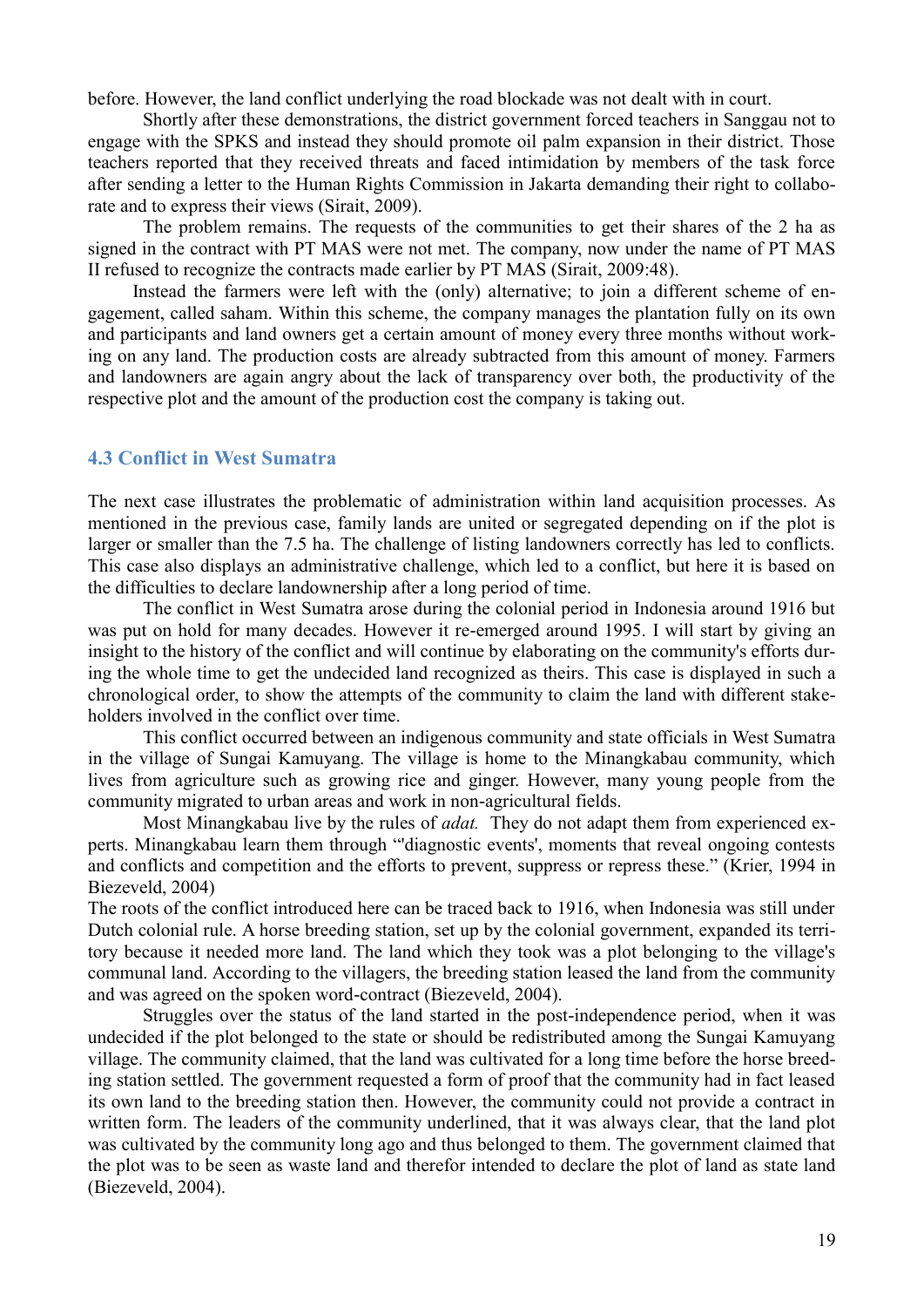before. However, the land conflict underlying the road blockade was not dealt with in court.

Shortly after these demonstrations, the district government forced teachers in Sanggau not to engage with the SPKS and instead they should promote oil palm expansion in their district. Those teachers reported that they received threats and faced intimidation by members of the task force after sending a letter to the Human Rights Commission in Jakarta demanding their right to collaborate and to express their views (Sirait, 2009).

The problem remains. The requests of the communities to get their shares of the 2 ha as signed in the contract with PT MAS were not met. The company, now under the name of PT MAS II refused to recognize the contracts made earlier by PT MAS (Sirait, 2009:48).

Instead the farmers were left with the (only) alternative; to join a different scheme of engagement, called saham. Within this scheme, the company manages the plantation fully on its own and participants and land owners get a certain amount of money every three months without working on any land. The production costs are already subtracted from this amount of money. Farmers and landowners are again angry about the lack of transparency over both, the productivity of the respective plot and the amount of the production cost the company is taking out.

#### **4.3 Conflict in West Sumatra**

The next case illustrates the problematic of administration within land acquisition processes. As mentioned in the previous case, family lands are united or segregated depending on if the plot is larger or smaller than the 7.5 ha. The challenge of listing landowners correctly has led to conflicts. This case also displays an administrative challenge, which led to a conflict, but here it is based on the difficulties to declare landownership after a long period of time.

The conflict in West Sumatra arose during the colonial period in Indonesia around 1916 but was put on hold for many decades. However it re-emerged around 1995. I will start by giving an insight to the history of the conflict and will continue by elaborating on the community's efforts during the whole time to get the undecided land recognized as theirs. This case is displayed in such a chronological order, to show the attempts of the community to claim the land with different stakeholders involved in the conflict over time.

This conflict occurred between an indigenous community and state officials in West Sumatra in the village of Sungai Kamuyang. The village is home to the Minangkabau community, which lives from agriculture such as growing rice and ginger. However, many young people from the community migrated to urban areas and work in non-agricultural fields.

Most Minangkabau live by the rules of *adat.* They do not adapt them from experienced experts. Minangkabau learn them through "'diagnostic events', moments that reveal ongoing contests and conflicts and competition and the efforts to prevent, suppress or repress these." (Krier, 1994 in Biezeveld, 2004)

The roots of the conflict introduced here can be traced back to 1916, when Indonesia was still under Dutch colonial rule. A horse breeding station, set up by the colonial government, expanded its territory because it needed more land. The land which they took was a plot belonging to the village's communal land. According to the villagers, the breeding station leased the land from the community and was agreed on the spoken word-contract (Biezeveld, 2004).

Struggles over the status of the land started in the post-independence period, when it was undecided if the plot belonged to the state or should be redistributed among the Sungai Kamuyang village. The community claimed, that the land was cultivated for a long time before the horse breeding station settled. The government requested a form of proof that the community had in fact leased its own land to the breeding station then. However, the community could not provide a contract in written form. The leaders of the community underlined, that it was always clear, that the land plot was cultivated by the community long ago and thus belonged to them. The government claimed that the plot was to be seen as waste land and therefor intended to declare the plot of land as state land (Biezeveld, 2004).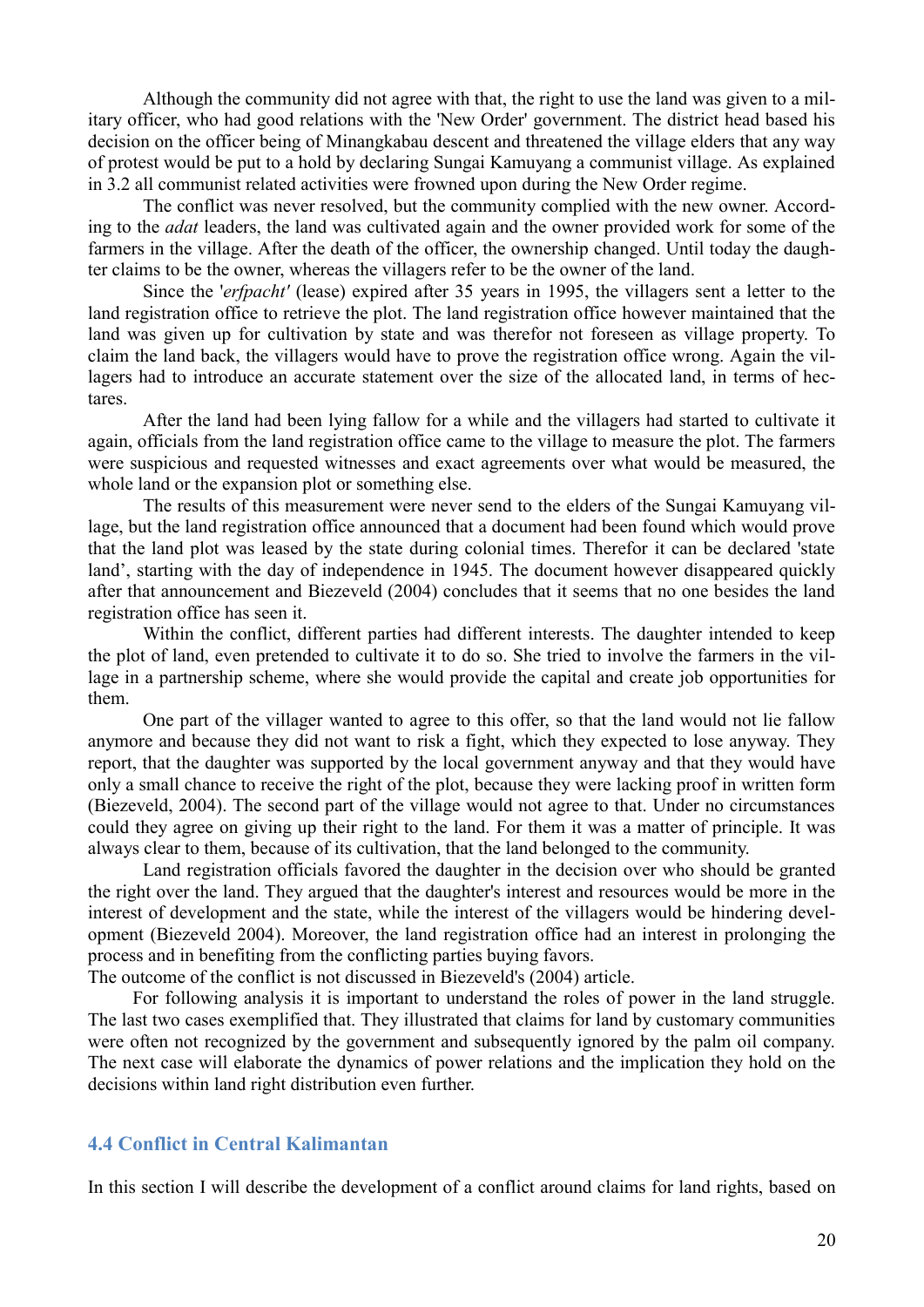Although the community did not agree with that, the right to use the land was given to a military officer, who had good relations with the 'New Order' government. The district head based his decision on the officer being of Minangkabau descent and threatened the village elders that any way of protest would be put to a hold by declaring Sungai Kamuyang a communist village. As explained in 3.2 all communist related activities were frowned upon during the New Order regime.

The conflict was never resolved, but the community complied with the new owner. According to the *adat* leaders, the land was cultivated again and the owner provided work for some of the farmers in the village. After the death of the officer, the ownership changed. Until today the daughter claims to be the owner, whereas the villagers refer to be the owner of the land.

Since the '*erfpacht'* (lease) expired after 35 years in 1995, the villagers sent a letter to the land registration office to retrieve the plot. The land registration office however maintained that the land was given up for cultivation by state and was therefor not foreseen as village property. To claim the land back, the villagers would have to prove the registration office wrong. Again the villagers had to introduce an accurate statement over the size of the allocated land, in terms of hectares.

After the land had been lying fallow for a while and the villagers had started to cultivate it again, officials from the land registration office came to the village to measure the plot. The farmers were suspicious and requested witnesses and exact agreements over what would be measured, the whole land or the expansion plot or something else.

The results of this measurement were never send to the elders of the Sungai Kamuyang village, but the land registration office announced that a document had been found which would prove that the land plot was leased by the state during colonial times. Therefor it can be declared 'state land', starting with the day of independence in 1945. The document however disappeared quickly after that announcement and Biezeveld (2004) concludes that it seems that no one besides the land registration office has seen it.

Within the conflict, different parties had different interests. The daughter intended to keep the plot of land, even pretended to cultivate it to do so. She tried to involve the farmers in the village in a partnership scheme, where she would provide the capital and create job opportunities for them.

One part of the villager wanted to agree to this offer, so that the land would not lie fallow anymore and because they did not want to risk a fight, which they expected to lose anyway. They report, that the daughter was supported by the local government anyway and that they would have only a small chance to receive the right of the plot, because they were lacking proof in written form (Biezeveld, 2004). The second part of the village would not agree to that. Under no circumstances could they agree on giving up their right to the land. For them it was a matter of principle. It was always clear to them, because of its cultivation, that the land belonged to the community.

Land registration officials favored the daughter in the decision over who should be granted the right over the land. They argued that the daughter's interest and resources would be more in the interest of development and the state, while the interest of the villagers would be hindering development (Biezeveld 2004). Moreover, the land registration office had an interest in prolonging the process and in benefiting from the conflicting parties buying favors.

The outcome of the conflict is not discussed in Biezeveld's (2004) article.

For following analysis it is important to understand the roles of power in the land struggle. The last two cases exemplified that. They illustrated that claims for land by customary communities were often not recognized by the government and subsequently ignored by the palm oil company. The next case will elaborate the dynamics of power relations and the implication they hold on the decisions within land right distribution even further.

#### **4.4 Conflict in Central Kalimantan**

In this section I will describe the development of a conflict around claims for land rights, based on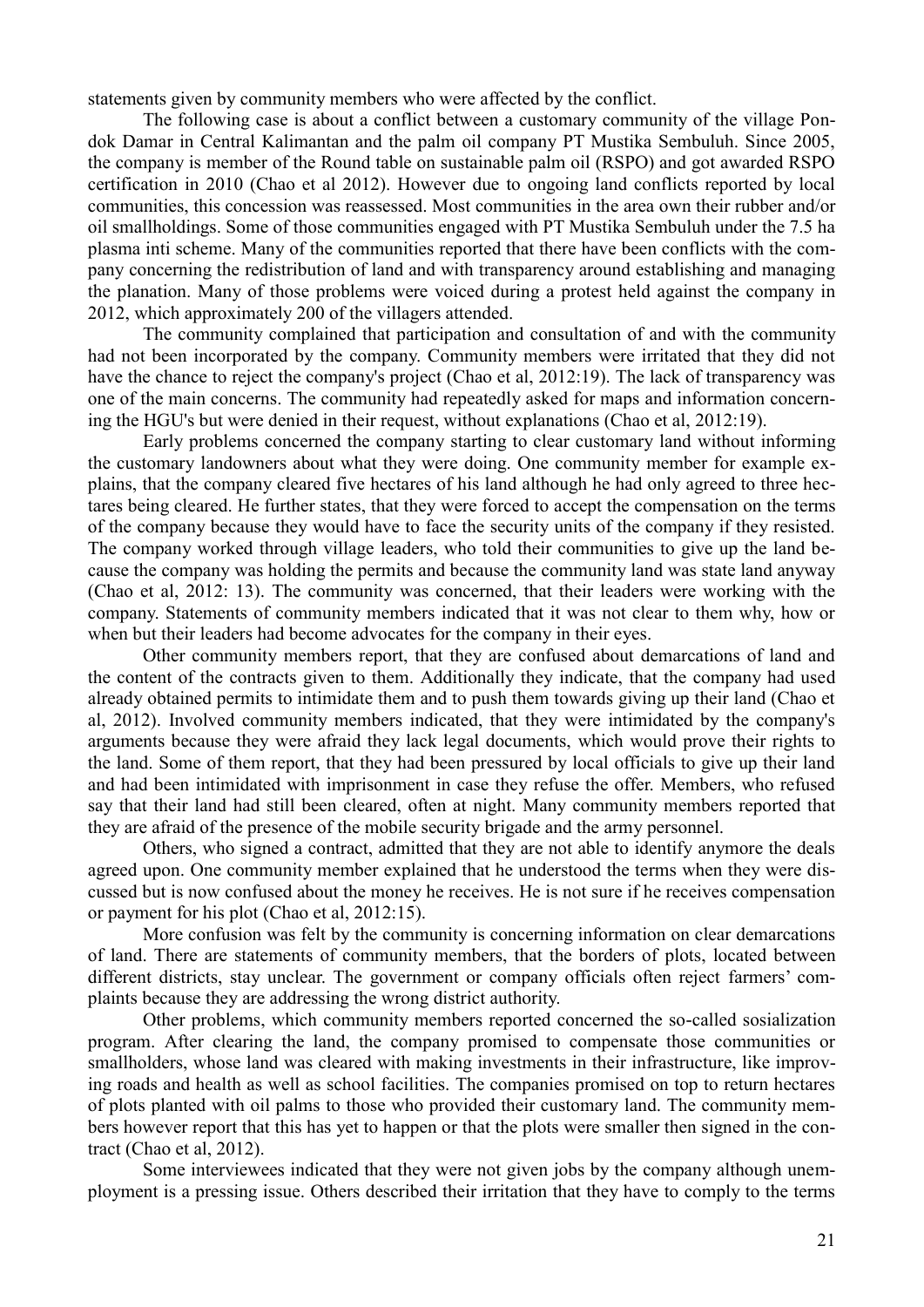statements given by community members who were affected by the conflict.

The following case is about a conflict between a customary community of the village Pondok Damar in Central Kalimantan and the palm oil company PT Mustika Sembuluh. Since 2005, the company is member of the Round table on sustainable palm oil (RSPO) and got awarded RSPO certification in 2010 (Chao et al 2012). However due to ongoing land conflicts reported by local communities, this concession was reassessed. Most communities in the area own their rubber and/or oil smallholdings. Some of those communities engaged with PT Mustika Sembuluh under the 7.5 ha plasma inti scheme. Many of the communities reported that there have been conflicts with the company concerning the redistribution of land and with transparency around establishing and managing the planation. Many of those problems were voiced during a protest held against the company in 2012, which approximately 200 of the villagers attended.

The community complained that participation and consultation of and with the community had not been incorporated by the company. Community members were irritated that they did not have the chance to reject the company's project (Chao et al, 2012:19). The lack of transparency was one of the main concerns. The community had repeatedly asked for maps and information concerning the HGU's but were denied in their request, without explanations (Chao et al, 2012:19).

Early problems concerned the company starting to clear customary land without informing the customary landowners about what they were doing. One community member for example explains, that the company cleared five hectares of his land although he had only agreed to three hectares being cleared. He further states, that they were forced to accept the compensation on the terms of the company because they would have to face the security units of the company if they resisted. The company worked through village leaders, who told their communities to give up the land because the company was holding the permits and because the community land was state land anyway (Chao et al, 2012: 13). The community was concerned, that their leaders were working with the company. Statements of community members indicated that it was not clear to them why, how or when but their leaders had become advocates for the company in their eyes.

Other community members report, that they are confused about demarcations of land and the content of the contracts given to them. Additionally they indicate, that the company had used already obtained permits to intimidate them and to push them towards giving up their land (Chao et al, 2012). Involved community members indicated, that they were intimidated by the company's arguments because they were afraid they lack legal documents, which would prove their rights to the land. Some of them report, that they had been pressured by local officials to give up their land and had been intimidated with imprisonment in case they refuse the offer. Members, who refused say that their land had still been cleared, often at night. Many community members reported that they are afraid of the presence of the mobile security brigade and the army personnel.

Others, who signed a contract, admitted that they are not able to identify anymore the deals agreed upon. One community member explained that he understood the terms when they were discussed but is now confused about the money he receives. He is not sure if he receives compensation or payment for his plot (Chao et al, 2012:15).

More confusion was felt by the community is concerning information on clear demarcations of land. There are statements of community members, that the borders of plots, located between different districts, stay unclear. The government or company officials often reject farmers' complaints because they are addressing the wrong district authority.

Other problems, which community members reported concerned the so-called sosialization program. After clearing the land, the company promised to compensate those communities or smallholders, whose land was cleared with making investments in their infrastructure, like improving roads and health as well as school facilities. The companies promised on top to return hectares of plots planted with oil palms to those who provided their customary land. The community members however report that this has yet to happen or that the plots were smaller then signed in the contract (Chao et al, 2012).

Some interviewees indicated that they were not given jobs by the company although unemployment is a pressing issue. Others described their irritation that they have to comply to the terms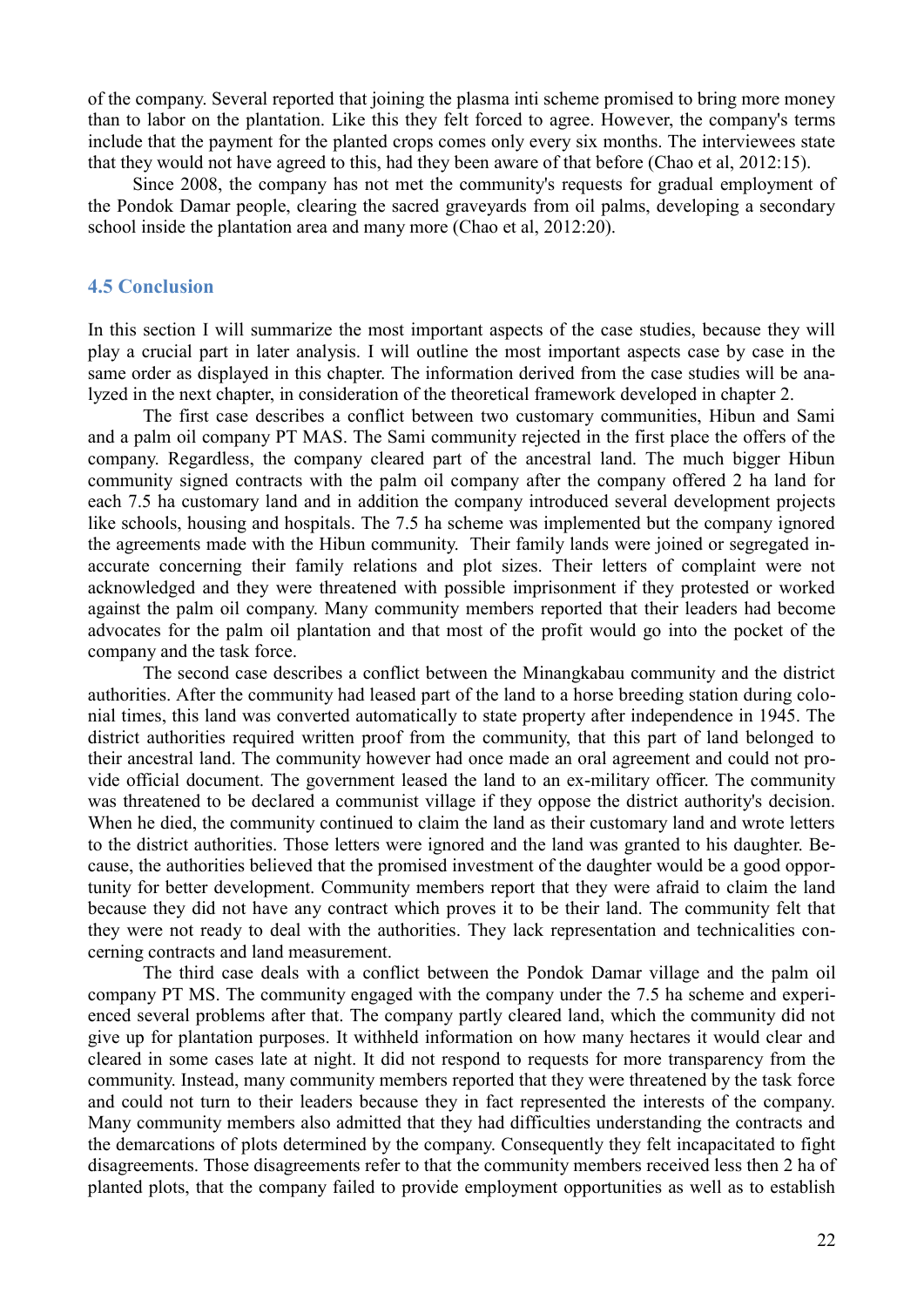of the company. Several reported that joining the plasma inti scheme promised to bring more money than to labor on the plantation. Like this they felt forced to agree. However, the company's terms include that the payment for the planted crops comes only every six months. The interviewees state that they would not have agreed to this, had they been aware of that before (Chao et al, 2012:15).

Since 2008, the company has not met the community's requests for gradual employment of the Pondok Damar people, clearing the sacred graveyards from oil palms, developing a secondary school inside the plantation area and many more (Chao et al, 2012:20).

#### **4.5 Conclusion**

In this section I will summarize the most important aspects of the case studies, because they will play a crucial part in later analysis. I will outline the most important aspects case by case in the same order as displayed in this chapter. The information derived from the case studies will be analyzed in the next chapter, in consideration of the theoretical framework developed in chapter 2.

The first case describes a conflict between two customary communities, Hibun and Sami and a palm oil company PT MAS. The Sami community rejected in the first place the offers of the company. Regardless, the company cleared part of the ancestral land. The much bigger Hibun community signed contracts with the palm oil company after the company offered 2 ha land for each 7.5 ha customary land and in addition the company introduced several development projects like schools, housing and hospitals. The 7.5 ha scheme was implemented but the company ignored the agreements made with the Hibun community. Their family lands were joined or segregated inaccurate concerning their family relations and plot sizes. Their letters of complaint were not acknowledged and they were threatened with possible imprisonment if they protested or worked against the palm oil company. Many community members reported that their leaders had become advocates for the palm oil plantation and that most of the profit would go into the pocket of the company and the task force.

The second case describes a conflict between the Minangkabau community and the district authorities. After the community had leased part of the land to a horse breeding station during colonial times, this land was converted automatically to state property after independence in 1945. The district authorities required written proof from the community, that this part of land belonged to their ancestral land. The community however had once made an oral agreement and could not provide official document. The government leased the land to an ex-military officer. The community was threatened to be declared a communist village if they oppose the district authority's decision. When he died, the community continued to claim the land as their customary land and wrote letters to the district authorities. Those letters were ignored and the land was granted to his daughter. Because, the authorities believed that the promised investment of the daughter would be a good opportunity for better development. Community members report that they were afraid to claim the land because they did not have any contract which proves it to be their land. The community felt that they were not ready to deal with the authorities. They lack representation and technicalities concerning contracts and land measurement.

The third case deals with a conflict between the Pondok Damar village and the palm oil company PT MS. The community engaged with the company under the 7.5 ha scheme and experienced several problems after that. The company partly cleared land, which the community did not give up for plantation purposes. It withheld information on how many hectares it would clear and cleared in some cases late at night. It did not respond to requests for more transparency from the community. Instead, many community members reported that they were threatened by the task force and could not turn to their leaders because they in fact represented the interests of the company. Many community members also admitted that they had difficulties understanding the contracts and the demarcations of plots determined by the company. Consequently they felt incapacitated to fight disagreements. Those disagreements refer to that the community members received less then 2 ha of planted plots, that the company failed to provide employment opportunities as well as to establish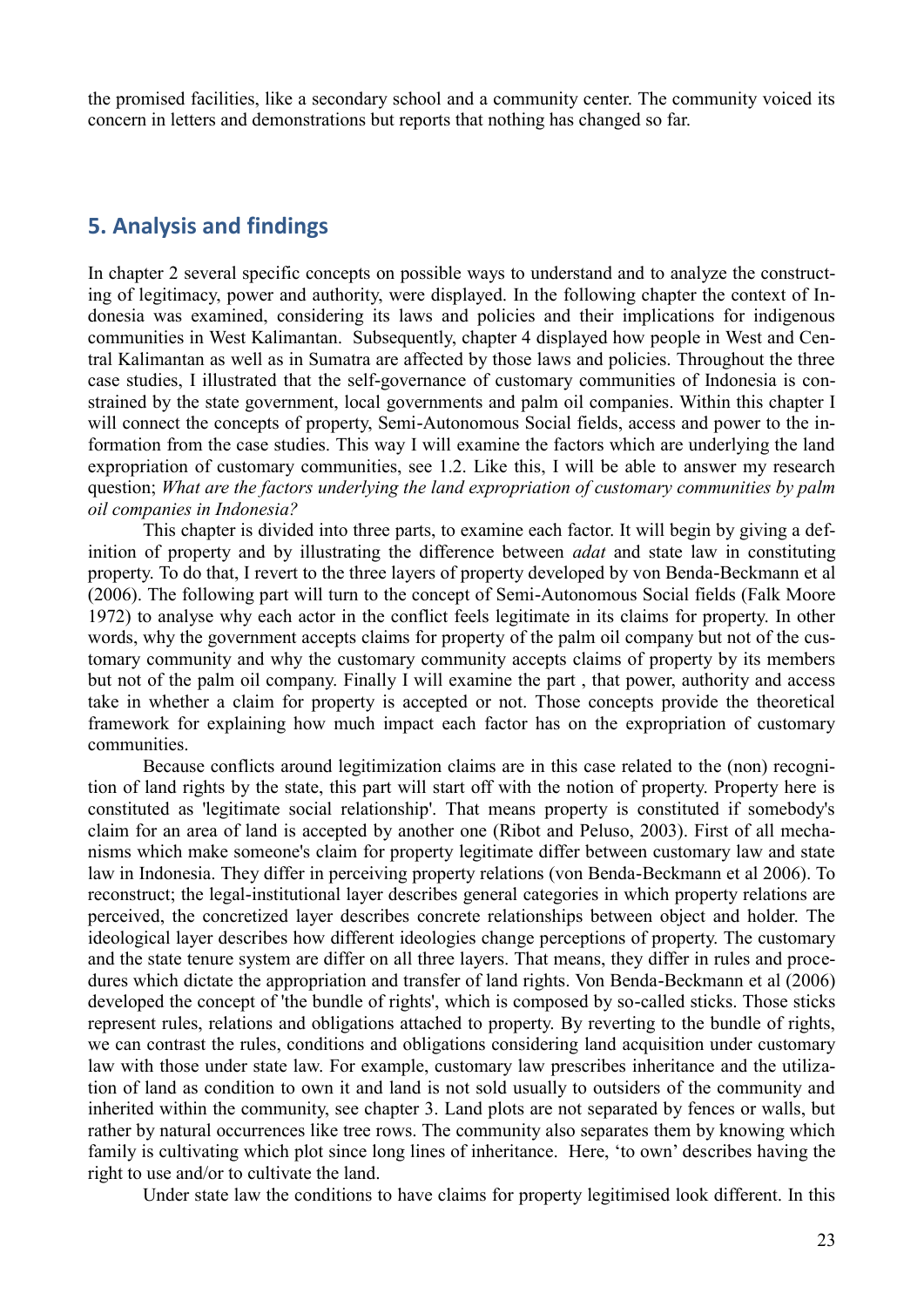the promised facilities, like a secondary school and a community center. The community voiced its concern in letters and demonstrations but reports that nothing has changed so far.

### **5. Analysis and findings**

In chapter 2 several specific concepts on possible ways to understand and to analyze the constructing of legitimacy, power and authority, were displayed. In the following chapter the context of Indonesia was examined, considering its laws and policies and their implications for indigenous communities in West Kalimantan. Subsequently, chapter 4 displayed how people in West and Central Kalimantan as well as in Sumatra are affected by those laws and policies. Throughout the three case studies, I illustrated that the self-governance of customary communities of Indonesia is constrained by the state government, local governments and palm oil companies. Within this chapter I will connect the concepts of property, Semi-Autonomous Social fields, access and power to the information from the case studies. This way I will examine the factors which are underlying the land expropriation of customary communities, see 1.2. Like this, I will be able to answer my research question; *What are the factors underlying the land expropriation of customary communities by palm oil companies in Indonesia?*

This chapter is divided into three parts, to examine each factor. It will begin by giving a definition of property and by illustrating the difference between *adat* and state law in constituting property. To do that, I revert to the three layers of property developed by von Benda-Beckmann et al (2006). The following part will turn to the concept of Semi-Autonomous Social fields (Falk Moore 1972) to analyse why each actor in the conflict feels legitimate in its claims for property. In other words, why the government accepts claims for property of the palm oil company but not of the customary community and why the customary community accepts claims of property by its members but not of the palm oil company. Finally I will examine the part , that power, authority and access take in whether a claim for property is accepted or not. Those concepts provide the theoretical framework for explaining how much impact each factor has on the expropriation of customary communities.

Because conflicts around legitimization claims are in this case related to the (non) recognition of land rights by the state, this part will start off with the notion of property. Property here is constituted as 'legitimate social relationship'. That means property is constituted if somebody's claim for an area of land is accepted by another one (Ribot and Peluso, 2003). First of all mechanisms which make someone's claim for property legitimate differ between customary law and state law in Indonesia. They differ in perceiving property relations (von Benda-Beckmann et al 2006). To reconstruct; the legal-institutional layer describes general categories in which property relations are perceived, the concretized layer describes concrete relationships between object and holder. The ideological layer describes how different ideologies change perceptions of property. The customary and the state tenure system are differ on all three layers. That means, they differ in rules and procedures which dictate the appropriation and transfer of land rights. Von Benda-Beckmann et al (2006) developed the concept of 'the bundle of rights', which is composed by so-called sticks. Those sticks represent rules, relations and obligations attached to property. By reverting to the bundle of rights, we can contrast the rules, conditions and obligations considering land acquisition under customary law with those under state law. For example, customary law prescribes inheritance and the utilization of land as condition to own it and land is not sold usually to outsiders of the community and inherited within the community, see chapter 3. Land plots are not separated by fences or walls, but rather by natural occurrences like tree rows. The community also separates them by knowing which family is cultivating which plot since long lines of inheritance. Here, 'to own' describes having the right to use and/or to cultivate the land.

Under state law the conditions to have claims for property legitimised look different. In this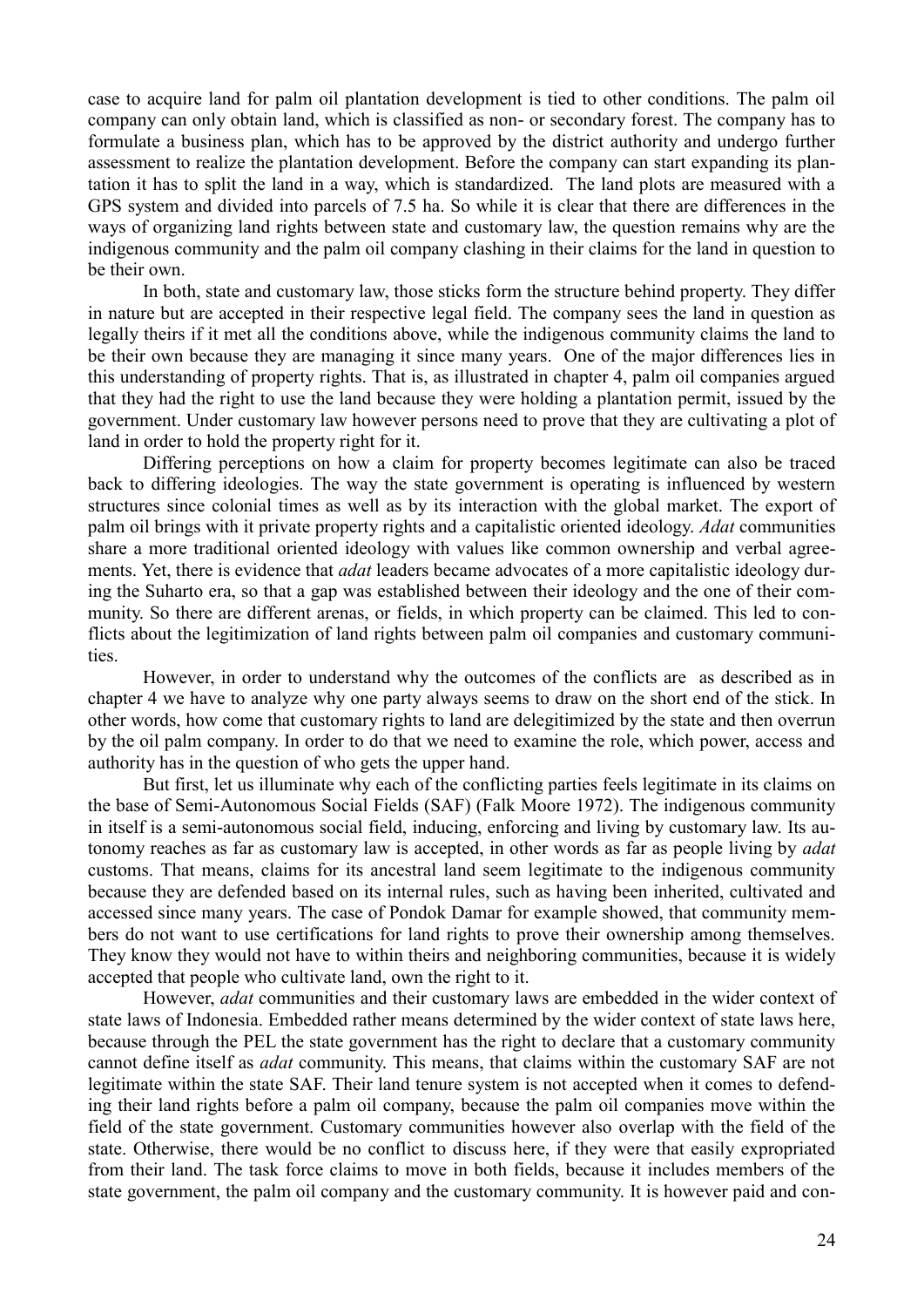case to acquire land for palm oil plantation development is tied to other conditions. The palm oil company can only obtain land, which is classified as non- or secondary forest. The company has to formulate a business plan, which has to be approved by the district authority and undergo further assessment to realize the plantation development. Before the company can start expanding its plantation it has to split the land in a way, which is standardized. The land plots are measured with a GPS system and divided into parcels of 7.5 ha. So while it is clear that there are differences in the ways of organizing land rights between state and customary law, the question remains why are the indigenous community and the palm oil company clashing in their claims for the land in question to be their own.

In both, state and customary law, those sticks form the structure behind property. They differ in nature but are accepted in their respective legal field. The company sees the land in question as legally theirs if it met all the conditions above, while the indigenous community claims the land to be their own because they are managing it since many years. One of the major differences lies in this understanding of property rights. That is, as illustrated in chapter 4, palm oil companies argued that they had the right to use the land because they were holding a plantation permit, issued by the government. Under customary law however persons need to prove that they are cultivating a plot of land in order to hold the property right for it.

Differing perceptions on how a claim for property becomes legitimate can also be traced back to differing ideologies. The way the state government is operating is influenced by western structures since colonial times as well as by its interaction with the global market. The export of palm oil brings with it private property rights and a capitalistic oriented ideology. *Adat* communities share a more traditional oriented ideology with values like common ownership and verbal agreements. Yet, there is evidence that *adat* leaders became advocates of a more capitalistic ideology during the Suharto era, so that a gap was established between their ideology and the one of their community. So there are different arenas, or fields, in which property can be claimed. This led to conflicts about the legitimization of land rights between palm oil companies and customary communities.

However, in order to understand why the outcomes of the conflicts are as described as in chapter 4 we have to analyze why one party always seems to draw on the short end of the stick. In other words, how come that customary rights to land are delegitimized by the state and then overrun by the oil palm company. In order to do that we need to examine the role, which power, access and authority has in the question of who gets the upper hand.

But first, let us illuminate why each of the conflicting parties feels legitimate in its claims on the base of Semi-Autonomous Social Fields (SAF) (Falk Moore 1972). The indigenous community in itself is a semi-autonomous social field, inducing, enforcing and living by customary law. Its autonomy reaches as far as customary law is accepted, in other words as far as people living by *adat* customs. That means, claims for its ancestral land seem legitimate to the indigenous community because they are defended based on its internal rules, such as having been inherited, cultivated and accessed since many years. The case of Pondok Damar for example showed, that community members do not want to use certifications for land rights to prove their ownership among themselves. They know they would not have to within theirs and neighboring communities, because it is widely accepted that people who cultivate land, own the right to it.

However, *adat* communities and their customary laws are embedded in the wider context of state laws of Indonesia. Embedded rather means determined by the wider context of state laws here, because through the PEL the state government has the right to declare that a customary community cannot define itself as *adat* community. This means, that claims within the customary SAF are not legitimate within the state SAF. Their land tenure system is not accepted when it comes to defending their land rights before a palm oil company, because the palm oil companies move within the field of the state government. Customary communities however also overlap with the field of the state. Otherwise, there would be no conflict to discuss here, if they were that easily expropriated from their land. The task force claims to move in both fields, because it includes members of the state government, the palm oil company and the customary community. It is however paid and con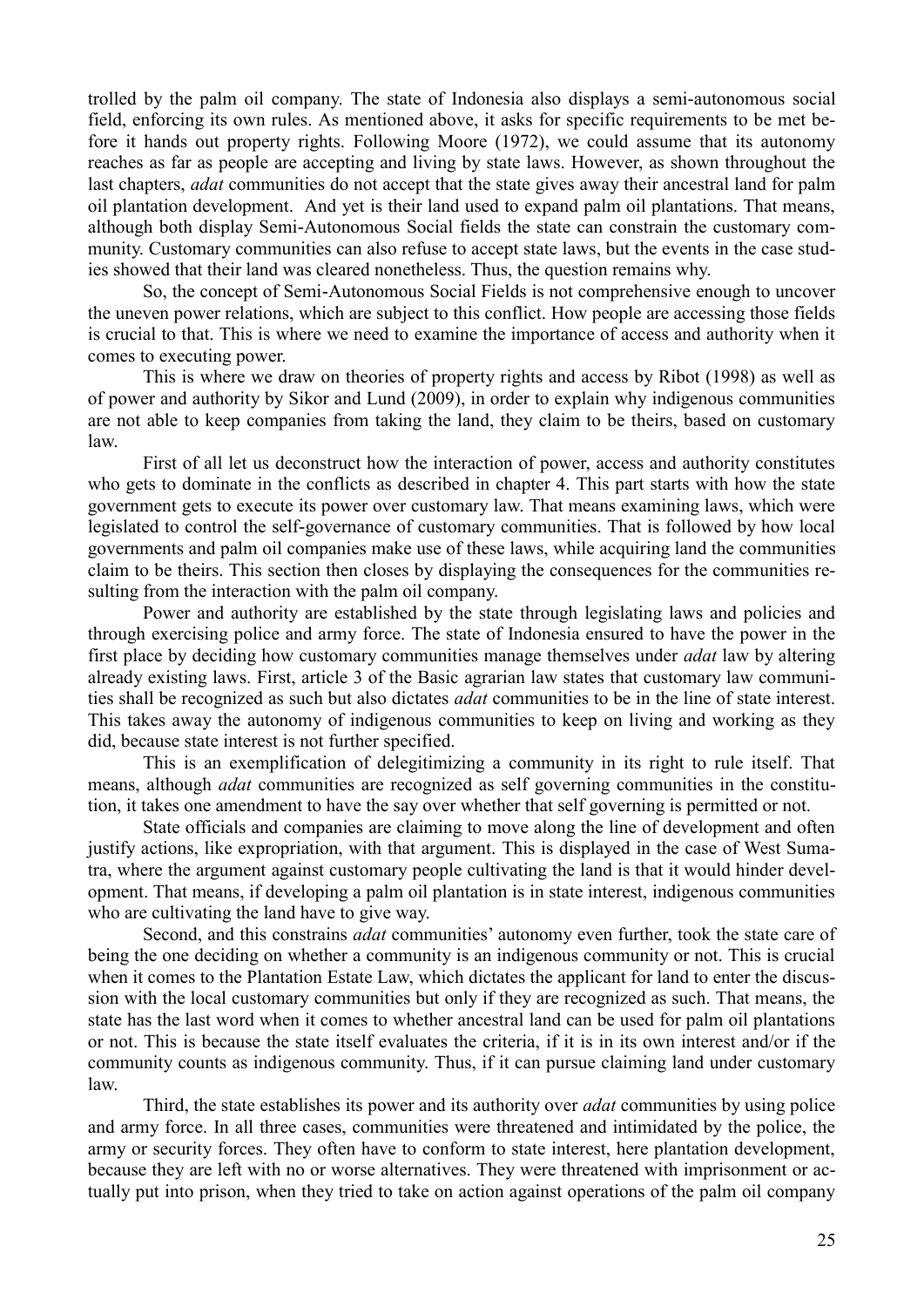trolled by the palm oil company. The state of Indonesia also displays a semi-autonomous social field, enforcing its own rules. As mentioned above, it asks for specific requirements to be met before it hands out property rights. Following Moore (1972), we could assume that its autonomy reaches as far as people are accepting and living by state laws. However, as shown throughout the last chapters, *adat* communities do not accept that the state gives away their ancestral land for palm oil plantation development. And yet is their land used to expand palm oil plantations. That means, although both display Semi-Autonomous Social fields the state can constrain the customary community. Customary communities can also refuse to accept state laws, but the events in the case studies showed that their land was cleared nonetheless. Thus, the question remains why.

So, the concept of Semi-Autonomous Social Fields is not comprehensive enough to uncover the uneven power relations, which are subject to this conflict. How people are accessing those fields is crucial to that. This is where we need to examine the importance of access and authority when it comes to executing power.

This is where we draw on theories of property rights and access by Ribot (1998) as well as of power and authority by Sikor and Lund (2009), in order to explain why indigenous communities are not able to keep companies from taking the land, they claim to be theirs, based on customary law.

First of all let us deconstruct how the interaction of power, access and authority constitutes who gets to dominate in the conflicts as described in chapter 4. This part starts with how the state government gets to execute its power over customary law. That means examining laws, which were legislated to control the self-governance of customary communities. That is followed by how local governments and palm oil companies make use of these laws, while acquiring land the communities claim to be theirs. This section then closes by displaying the consequences for the communities resulting from the interaction with the palm oil company.

Power and authority are established by the state through legislating laws and policies and through exercising police and army force. The state of Indonesia ensured to have the power in the first place by deciding how customary communities manage themselves under *adat* law by altering already existing laws. First, article 3 of the Basic agrarian law states that customary law communities shall be recognized as such but also dictates *adat* communities to be in the line of state interest. This takes away the autonomy of indigenous communities to keep on living and working as they did, because state interest is not further specified.

This is an exemplification of delegitimizing a community in its right to rule itself. That means, although *adat* communities are recognized as self governing communities in the constitution, it takes one amendment to have the say over whether that self governing is permitted or not.

State officials and companies are claiming to move along the line of development and often justify actions, like expropriation, with that argument. This is displayed in the case of West Sumatra, where the argument against customary people cultivating the land is that it would hinder development. That means, if developing a palm oil plantation is in state interest, indigenous communities who are cultivating the land have to give way.

Second, and this constrains *adat* communities' autonomy even further, took the state care of being the one deciding on whether a community is an indigenous community or not. This is crucial when it comes to the Plantation Estate Law, which dictates the applicant for land to enter the discussion with the local customary communities but only if they are recognized as such. That means, the state has the last word when it comes to whether ancestral land can be used for palm oil plantations or not. This is because the state itself evaluates the criteria, if it is in its own interest and/or if the community counts as indigenous community. Thus, if it can pursue claiming land under customary law.

Third, the state establishes its power and its authority over *adat* communities by using police and army force. In all three cases, communities were threatened and intimidated by the police, the army or security forces. They often have to conform to state interest, here plantation development, because they are left with no or worse alternatives. They were threatened with imprisonment or actually put into prison, when they tried to take on action against operations of the palm oil company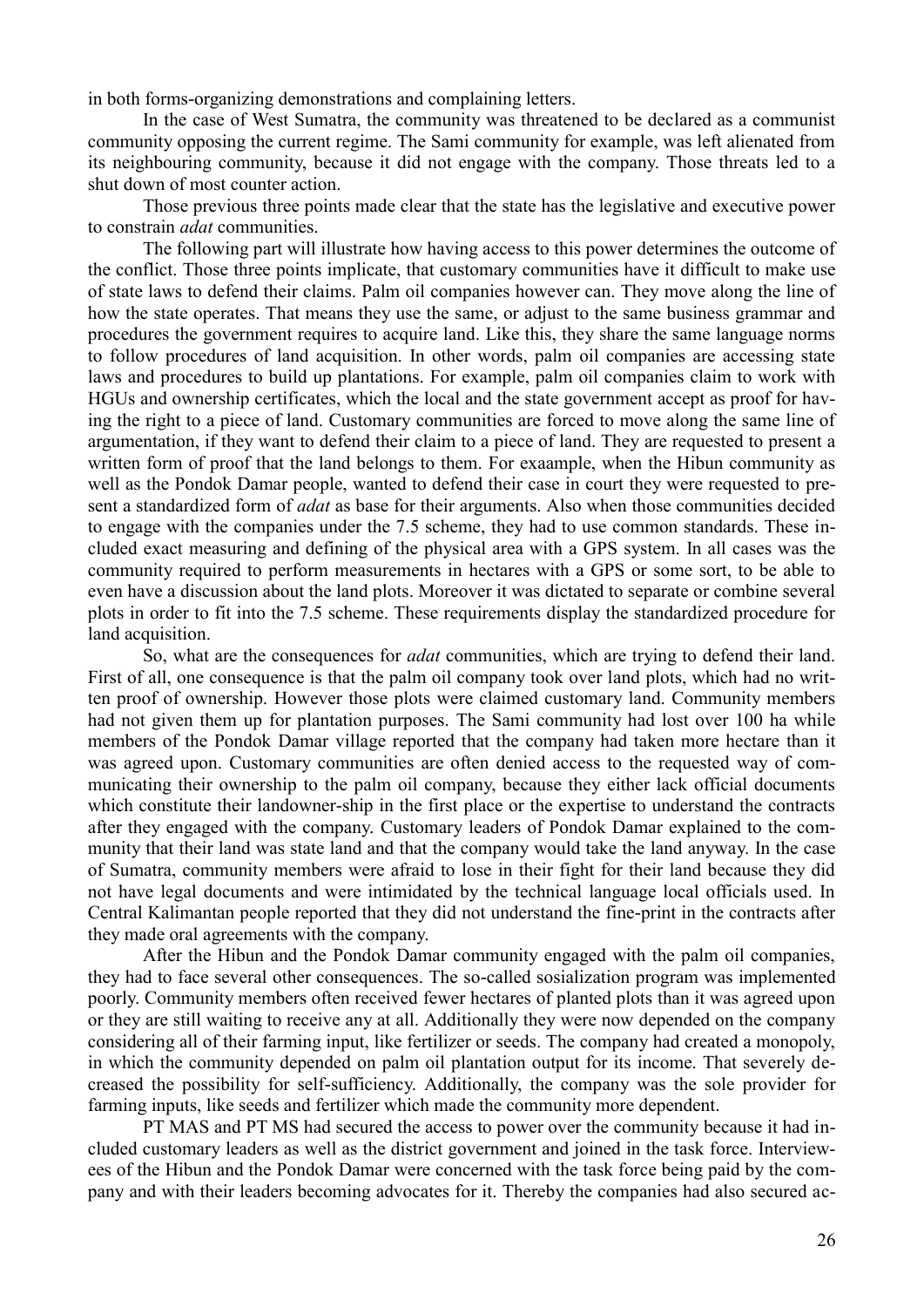in both forms-organizing demonstrations and complaining letters.

In the case of West Sumatra, the community was threatened to be declared as a communist community opposing the current regime. The Sami community for example, was left alienated from its neighbouring community, because it did not engage with the company. Those threats led to a shut down of most counter action.

Those previous three points made clear that the state has the legislative and executive power to constrain *adat* communities.

The following part will illustrate how having access to this power determines the outcome of the conflict. Those three points implicate, that customary communities have it difficult to make use of state laws to defend their claims. Palm oil companies however can. They move along the line of how the state operates. That means they use the same, or adjust to the same business grammar and procedures the government requires to acquire land. Like this, they share the same language norms to follow procedures of land acquisition. In other words, palm oil companies are accessing state laws and procedures to build up plantations. For example, palm oil companies claim to work with HGUs and ownership certificates, which the local and the state government accept as proof for having the right to a piece of land. Customary communities are forced to move along the same line of argumentation, if they want to defend their claim to a piece of land. They are requested to present a written form of proof that the land belongs to them. For exaample, when the Hibun community as well as the Pondok Damar people, wanted to defend their case in court they were requested to present a standardized form of *adat* as base for their arguments. Also when those communities decided to engage with the companies under the 7.5 scheme, they had to use common standards. These included exact measuring and defining of the physical area with a GPS system. In all cases was the community required to perform measurements in hectares with a GPS or some sort, to be able to even have a discussion about the land plots. Moreover it was dictated to separate or combine several plots in order to fit into the 7.5 scheme. These requirements display the standardized procedure for land acquisition.

So, what are the consequences for *adat* communities, which are trying to defend their land. First of all, one consequence is that the palm oil company took over land plots, which had no written proof of ownership. However those plots were claimed customary land. Community members had not given them up for plantation purposes. The Sami community had lost over 100 ha while members of the Pondok Damar village reported that the company had taken more hectare than it was agreed upon. Customary communities are often denied access to the requested way of communicating their ownership to the palm oil company, because they either lack official documents which constitute their landowner-ship in the first place or the expertise to understand the contracts after they engaged with the company. Customary leaders of Pondok Damar explained to the community that their land was state land and that the company would take the land anyway. In the case of Sumatra, community members were afraid to lose in their fight for their land because they did not have legal documents and were intimidated by the technical language local officials used. In Central Kalimantan people reported that they did not understand the fine-print in the contracts after they made oral agreements with the company.

After the Hibun and the Pondok Damar community engaged with the palm oil companies, they had to face several other consequences. The so-called sosialization program was implemented poorly. Community members often received fewer hectares of planted plots than it was agreed upon or they are still waiting to receive any at all. Additionally they were now depended on the company considering all of their farming input, like fertilizer or seeds. The company had created a monopoly, in which the community depended on palm oil plantation output for its income. That severely decreased the possibility for self-sufficiency. Additionally, the company was the sole provider for farming inputs, like seeds and fertilizer which made the community more dependent.

PT MAS and PT MS had secured the access to power over the community because it had included customary leaders as well as the district government and joined in the task force. Interviewees of the Hibun and the Pondok Damar were concerned with the task force being paid by the company and with their leaders becoming advocates for it. Thereby the companies had also secured ac-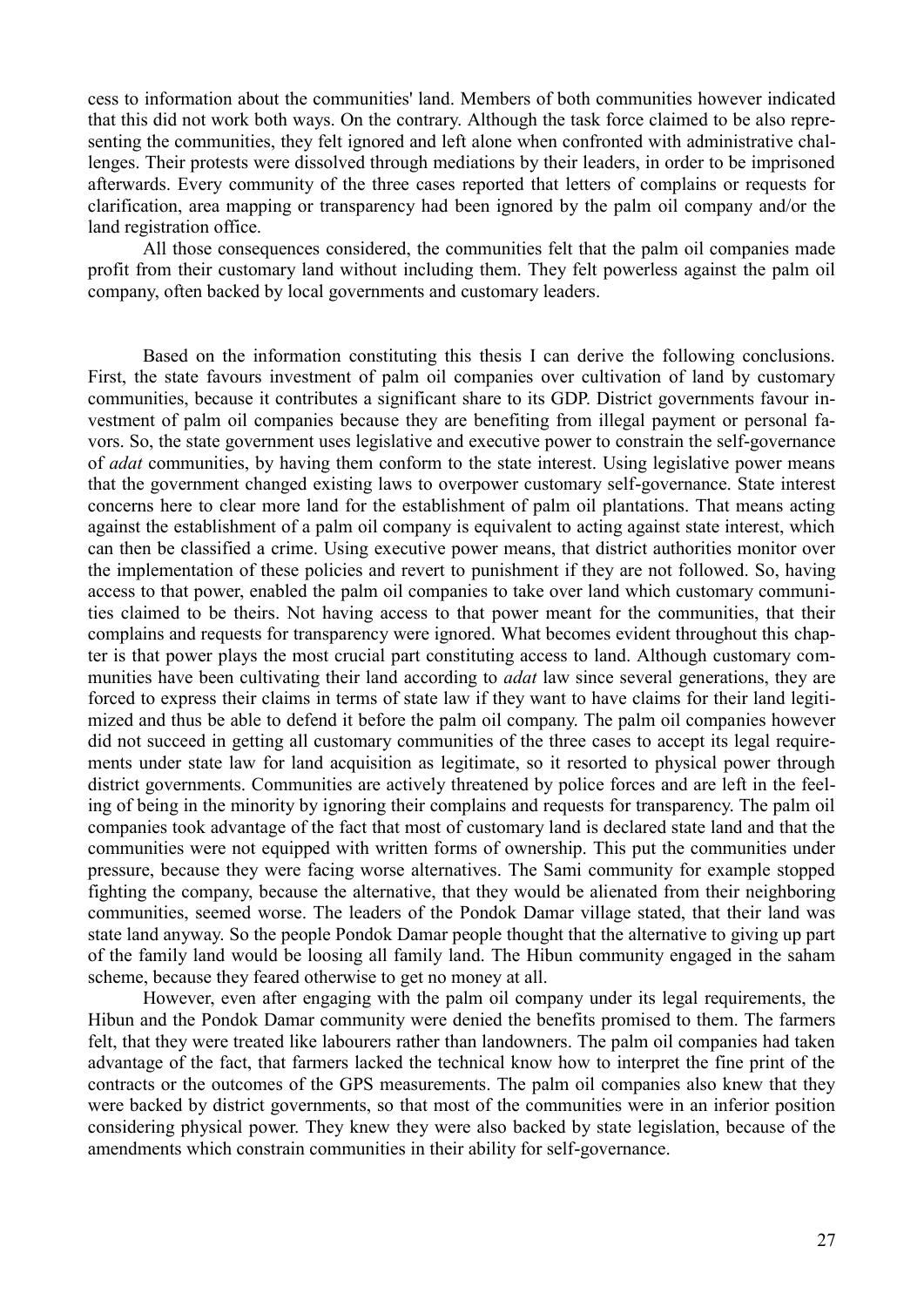cess to information about the communities' land. Members of both communities however indicated that this did not work both ways. On the contrary. Although the task force claimed to be also representing the communities, they felt ignored and left alone when confronted with administrative challenges. Their protests were dissolved through mediations by their leaders, in order to be imprisoned afterwards. Every community of the three cases reported that letters of complains or requests for clarification, area mapping or transparency had been ignored by the palm oil company and/or the land registration office.

All those consequences considered, the communities felt that the palm oil companies made profit from their customary land without including them. They felt powerless against the palm oil company, often backed by local governments and customary leaders.

Based on the information constituting this thesis I can derive the following conclusions. First, the state favours investment of palm oil companies over cultivation of land by customary communities, because it contributes a significant share to its GDP. District governments favour investment of palm oil companies because they are benefiting from illegal payment or personal favors. So, the state government uses legislative and executive power to constrain the self-governance of *adat* communities, by having them conform to the state interest. Using legislative power means that the government changed existing laws to overpower customary self-governance. State interest concerns here to clear more land for the establishment of palm oil plantations. That means acting against the establishment of a palm oil company is equivalent to acting against state interest, which can then be classified a crime. Using executive power means, that district authorities monitor over the implementation of these policies and revert to punishment if they are not followed. So, having access to that power, enabled the palm oil companies to take over land which customary communities claimed to be theirs. Not having access to that power meant for the communities, that their complains and requests for transparency were ignored. What becomes evident throughout this chapter is that power plays the most crucial part constituting access to land. Although customary communities have been cultivating their land according to *adat* law since several generations, they are forced to express their claims in terms of state law if they want to have claims for their land legitimized and thus be able to defend it before the palm oil company. The palm oil companies however did not succeed in getting all customary communities of the three cases to accept its legal requirements under state law for land acquisition as legitimate, so it resorted to physical power through district governments. Communities are actively threatened by police forces and are left in the feeling of being in the minority by ignoring their complains and requests for transparency. The palm oil companies took advantage of the fact that most of customary land is declared state land and that the communities were not equipped with written forms of ownership. This put the communities under pressure, because they were facing worse alternatives. The Sami community for example stopped fighting the company, because the alternative, that they would be alienated from their neighboring communities, seemed worse. The leaders of the Pondok Damar village stated, that their land was state land anyway. So the people Pondok Damar people thought that the alternative to giving up part of the family land would be loosing all family land. The Hibun community engaged in the saham scheme, because they feared otherwise to get no money at all.

However, even after engaging with the palm oil company under its legal requirements, the Hibun and the Pondok Damar community were denied the benefits promised to them. The farmers felt, that they were treated like labourers rather than landowners. The palm oil companies had taken advantage of the fact, that farmers lacked the technical know how to interpret the fine print of the contracts or the outcomes of the GPS measurements. The palm oil companies also knew that they were backed by district governments, so that most of the communities were in an inferior position considering physical power. They knew they were also backed by state legislation, because of the amendments which constrain communities in their ability for self-governance.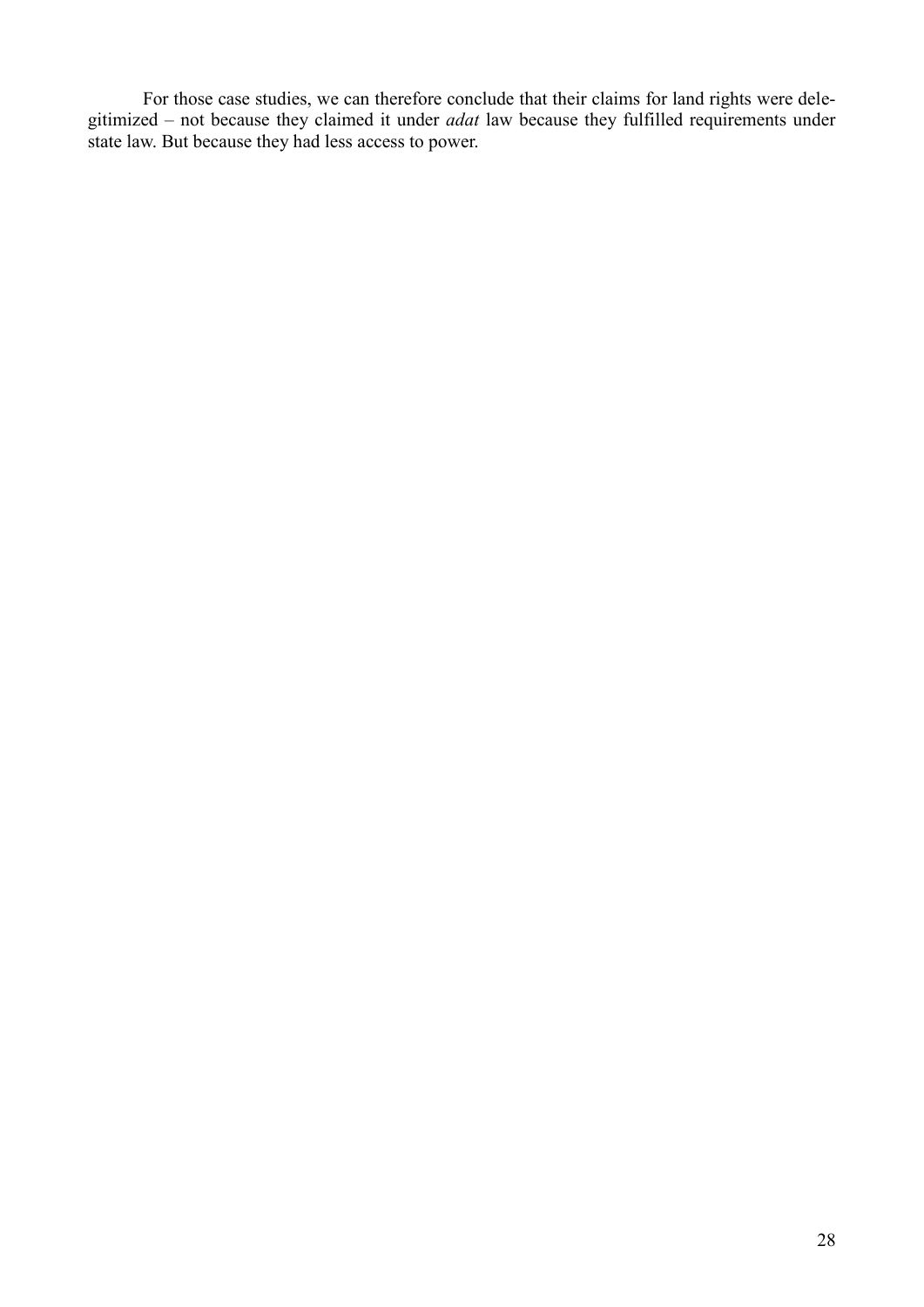For those case studies, we can therefore conclude that their claims for land rights were delegitimized – not because they claimed it under *adat* law because they fulfilled requirements under state law. But because they had less access to power.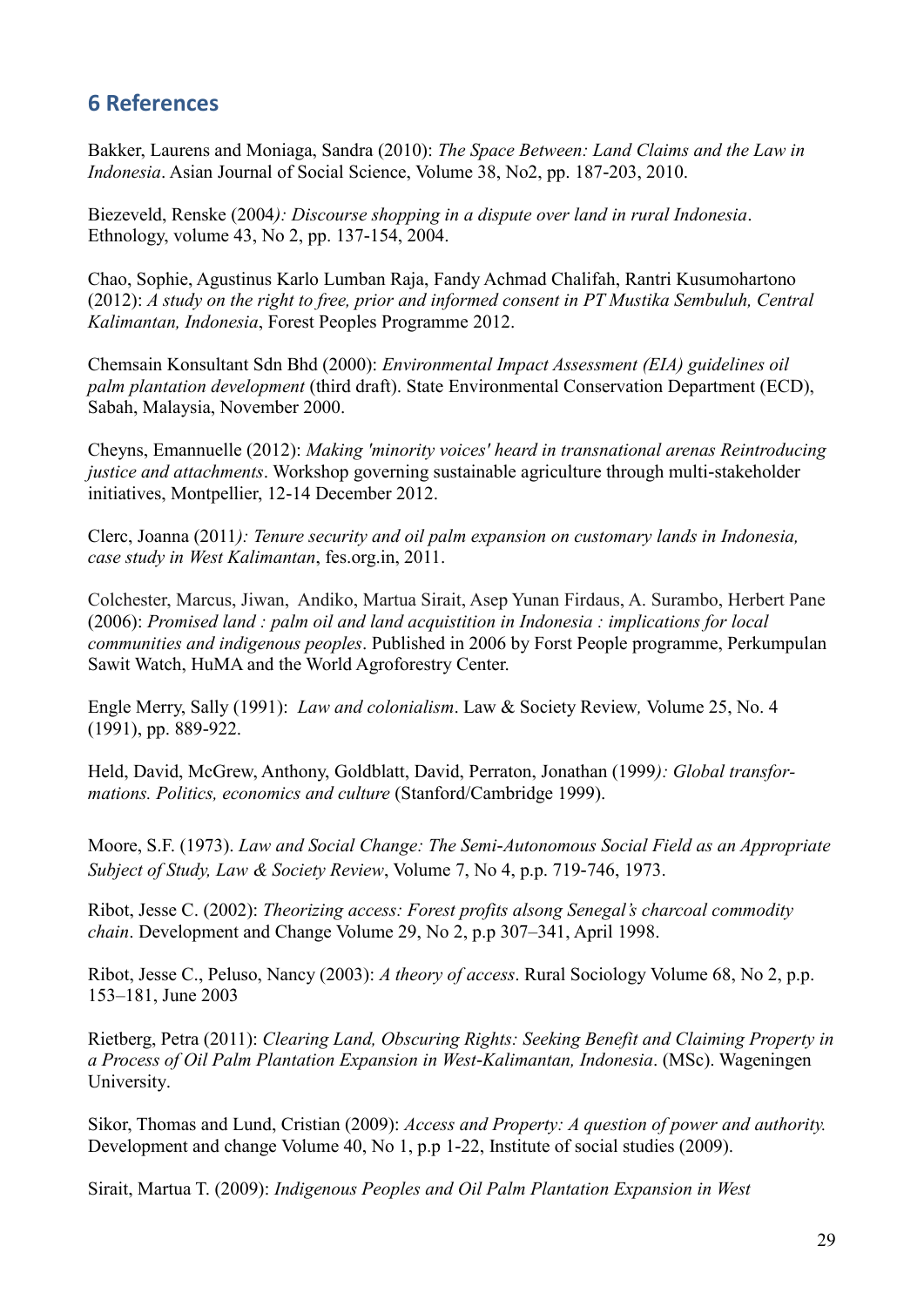# **6 References**

Bakker, Laurens and Moniaga, Sandra (2010): *The Space Between: Land Claims and the Law in Indonesia*. Asian Journal of Social Science, Volume 38, No2, pp. 187-203, 2010.

Biezeveld, Renske (2004*): Discourse shopping in a dispute over land in rural Indonesia*. Ethnology, volume 43, No 2, pp. 137-154, 2004.

Chao, Sophie, Agustinus Karlo Lumban Raja, Fandy Achmad Chalifah, Rantri Kusumohartono (2012): *A study on the right to free, prior and informed consent in PT Mustika Sembuluh, Central Kalimantan, Indonesia*, Forest Peoples Programme 2012.

Chemsain Konsultant Sdn Bhd (2000): *Environmental Impact Assessment (EIA) guidelines oil palm plantation development* (third draft). State Environmental Conservation Department (ECD), Sabah, Malaysia, November 2000.

Cheyns, Emannuelle (2012): *Making 'minority voices' heard in transnational arenas Reintroducing justice and attachments*. Workshop governing sustainable agriculture through multi-stakeholder initiatives, Montpellier, 12-14 December 2012.

Clerc, Joanna (2011*): Tenure security and oil palm expansion on customary lands in Indonesia, case study in West Kalimantan*, fes.org.in, 2011.

Colchester, Marcus, Jiwan, Andiko, Martua Sirait, Asep Yunan Firdaus, A. Surambo, Herbert Pane (2006): *Promised land : palm oil and land acquistition in Indonesia : implications for local communities and indigenous peoples*. Published in 2006 by Forst People programme, Perkumpulan Sawit Watch, HuMA and the World Agroforestry Center.

Engle Merry, Sally (1991): *Law and colonialism*. Law & Society Review*,* Volume 25, No. 4 (1991), pp. 889-922.

Held, David, McGrew, Anthony, Goldblatt, David, Perraton, Jonathan (1999*): Global transformations. Politics, economics and culture* (Stanford/Cambridge 1999).

Moore, S.F. (1973). *Law and Social Change: The Semi-Autonomous Social Field as an Appropriate Subject of Study, Law & Society Review*, Volume 7, No 4, p.p. 719-746, 1973.

Ribot, Jesse C. (2002): *Theorizing access: Forest profits alsong Senegal's charcoal commodity chain*. Development and Change Volume 29, No 2, p.p 307–341, April 1998.

Ribot, Jesse C., Peluso, Nancy (2003): *A theory of access*. Rural Sociology Volume 68, No 2, p.p. 153–181, June 2003

Rietberg, Petra (2011): *Clearing Land, Obscuring Rights: Seeking Benefit and Claiming Property in a Process of Oil Palm Plantation Expansion in West-Kalimantan, Indonesia*. (MSc). Wageningen University.

Sikor, Thomas and Lund, Cristian (2009): *Access and Property: A question of power and authority.* Development and change Volume 40, No 1, p.p 1-22, Institute of social studies (2009).

Sirait, Martua T. (2009): *Indigenous Peoples and Oil Palm Plantation Expansion in West*